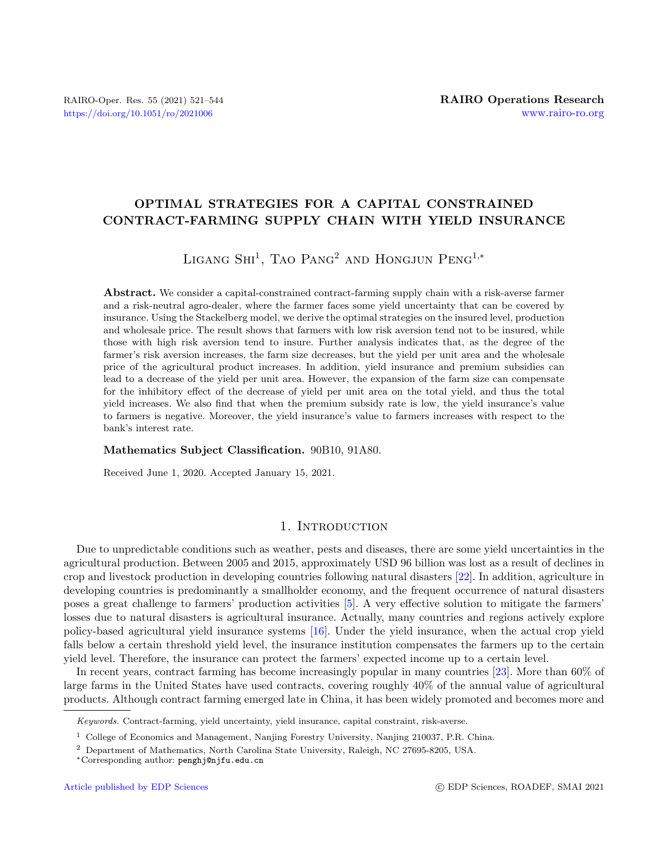# OPTIMAL STRATEGIES FOR A CAPITAL CONSTRAINED CONTRACT-FARMING SUPPLY CHAIN WITH YIELD INSURANCE

# LIGANG  $\text{SHI}^1$ , Tao Pang<sup>2</sup> and Hongjun Peng<sup>1,\*</sup>

Abstract. We consider a capital-constrained contract-farming supply chain with a risk-averse farmer and a risk-neutral agro-dealer, where the farmer faces some yield uncertainty that can be covered by insurance. Using the Stackelberg model, we derive the optimal strategies on the insured level, production and wholesale price. The result shows that farmers with low risk aversion tend not to be insured, while those with high risk aversion tend to insure. Further analysis indicates that, as the degree of the farmer's risk aversion increases, the farm size decreases, but the yield per unit area and the wholesale price of the agricultural product increases. In addition, yield insurance and premium subsidies can lead to a decrease of the yield per unit area. However, the expansion of the farm size can compensate for the inhibitory effect of the decrease of yield per unit area on the total yield, and thus the total yield increases. We also find that when the premium subsidy rate is low, the yield insurance's value to farmers is negative. Moreover, the yield insurance's value to farmers increases with respect to the bank's interest rate.

### Mathematics Subject Classification. 90B10, 91A80.

Received June 1, 2020. Accepted January 15, 2021.

### 1. INTRODUCTION

Due to unpredictable conditions such as weather, pests and diseases, there are some yield uncertainties in the agricultural production. Between 2005 and 2015, approximately USD 96 billion was lost as a result of declines in crop and livestock production in developing countries following natural disasters [\[22\]](#page-22-0). In addition, agriculture in developing countries is predominantly a smallholder economy, and the frequent occurrence of natural disasters poses a great challenge to farmers' production activities [\[5\]](#page-21-0). A very effective solution to mitigate the farmers' losses due to natural disasters is agricultural insurance. Actually, many countries and regions actively explore policy-based agricultural yield insurance systems [\[16\]](#page-22-1). Under the yield insurance, when the actual crop yield falls below a certain threshold yield level, the insurance institution compensates the farmers up to the certain yield level. Therefore, the insurance can protect the farmers' expected income up to a certain level.

In recent years, contract farming has become increasingly popular in many countries [\[23\]](#page-22-2). More than 60% of large farms in the United States have used contracts, covering roughly 40% of the annual value of agricultural products. Although contract farming emerged late in China, it has been widely promoted and becomes more and

Keywords. Contract-farming, yield uncertainty, yield insurance, capital constraint, risk-averse.

<sup>1</sup> College of Economics and Management, Nanjing Forestry University, Nanjing 210037, P.R. China.

<sup>2</sup> Department of Mathematics, North Carolina State University, Raleigh, NC 27695-8205, USA.

<sup>∗</sup>Corresponding author: [penghj@njfu.edu.cn](mailto:penghj@njfu.edu.cn)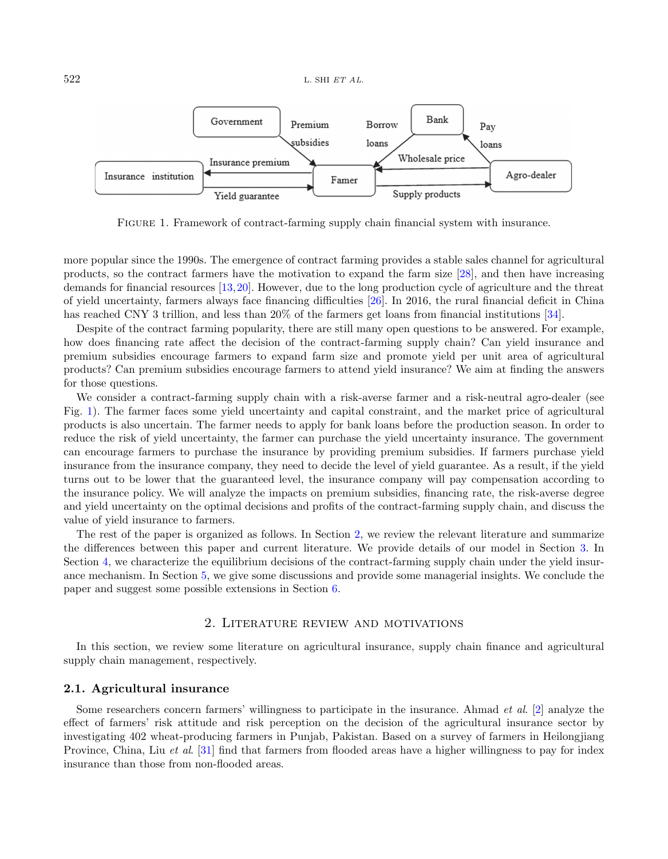<span id="page-1-0"></span>

Figure 1. Framework of contract-farming supply chain financial system with insurance.

more popular since the 1990s. The emergence of contract farming provides a stable sales channel for agricultural products, so the contract farmers have the motivation to expand the farm size [\[28\]](#page-22-3), and then have increasing demands for financial resources [\[13,](#page-22-4)[20\]](#page-22-5). However, due to the long production cycle of agriculture and the threat of yield uncertainty, farmers always face financing difficulties [\[26\]](#page-22-6). In 2016, the rural financial deficit in China has reached CNY 3 trillion, and less than 20% of the farmers get loans from financial institutions [\[34\]](#page-22-7).

Despite of the contract farming popularity, there are still many open questions to be answered. For example, how does financing rate affect the decision of the contract-farming supply chain? Can yield insurance and premium subsidies encourage farmers to expand farm size and promote yield per unit area of agricultural products? Can premium subsidies encourage farmers to attend yield insurance? We aim at finding the answers for those questions.

We consider a contract-farming supply chain with a risk-averse farmer and a risk-neutral agro-dealer (see Fig. [1\)](#page-1-0). The farmer faces some yield uncertainty and capital constraint, and the market price of agricultural products is also uncertain. The farmer needs to apply for bank loans before the production season. In order to reduce the risk of yield uncertainty, the farmer can purchase the yield uncertainty insurance. The government can encourage farmers to purchase the insurance by providing premium subsidies. If farmers purchase yield insurance from the insurance company, they need to decide the level of yield guarantee. As a result, if the yield turns out to be lower that the guaranteed level, the insurance company will pay compensation according to the insurance policy. We will analyze the impacts on premium subsidies, financing rate, the risk-averse degree and yield uncertainty on the optimal decisions and profits of the contract-farming supply chain, and discuss the value of yield insurance to farmers.

The rest of the paper is organized as follows. In Section [2,](#page-1-1) we review the relevant literature and summarize the differences between this paper and current literature. We provide details of our model in Section [3.](#page-4-0) In Section [4,](#page-6-0) we characterize the equilibrium decisions of the contract-farming supply chain under the yield insurance mechanism. In Section [5,](#page-8-0) we give some discussions and provide some managerial insights. We conclude the paper and suggest some possible extensions in Section [6.](#page-16-0)

### 2. Literature review and motivations

<span id="page-1-1"></span>In this section, we review some literature on agricultural insurance, supply chain finance and agricultural supply chain management, respectively.

### 2.1. Agricultural insurance

Some researchers concern farmers' willingness to participate in the insurance. Ahmad et al. [\[2\]](#page-21-1) analyze the effect of farmers' risk attitude and risk perception on the decision of the agricultural insurance sector by investigating 402 wheat-producing farmers in Punjab, Pakistan. Based on a survey of farmers in Heilongjiang Province, China, Liu et al. [\[31\]](#page-22-8) find that farmers from flooded areas have a higher willingness to pay for index insurance than those from non-flooded areas.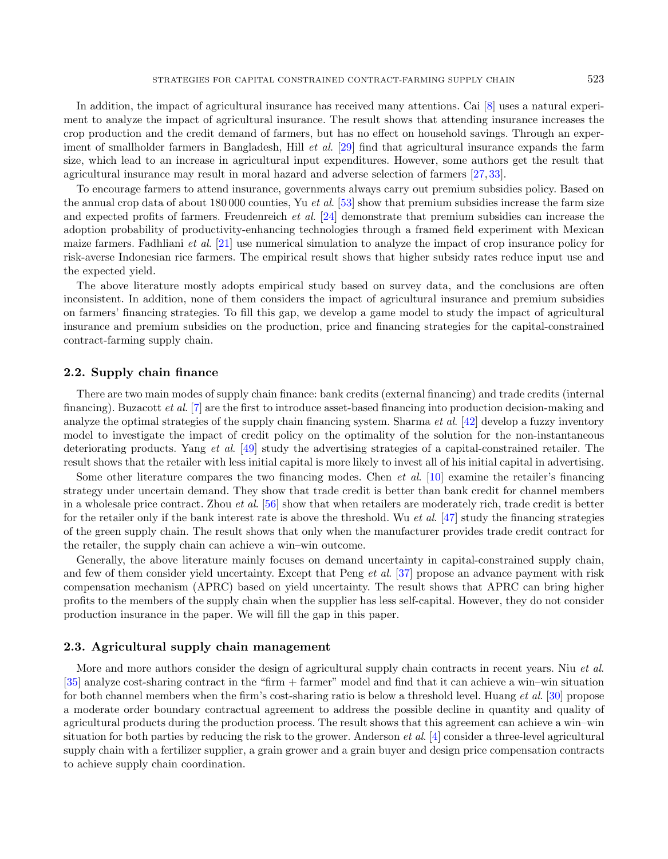In addition, the impact of agricultural insurance has received many attentions. Cai [\[8\]](#page-22-9) uses a natural experiment to analyze the impact of agricultural insurance. The result shows that attending insurance increases the crop production and the credit demand of farmers, but has no effect on household savings. Through an experiment of smallholder farmers in Bangladesh, Hill *et al.* [\[29\]](#page-22-10) find that agricultural insurance expands the farm size, which lead to an increase in agricultural input expenditures. However, some authors get the result that agricultural insurance may result in moral hazard and adverse selection of farmers [\[27,](#page-22-11) [33\]](#page-22-12).

To encourage farmers to attend insurance, governments always carry out premium subsidies policy. Based on the annual crop data of about 180 000 counties. Yu *et al.* [\[53\]](#page-23-0) show that premium subsidies increase the farm size and expected profits of farmers. Freudenreich et al. [\[24\]](#page-22-13) demonstrate that premium subsidies can increase the adoption probability of productivity-enhancing technologies through a framed field experiment with Mexican maize farmers. Fadhliani *et al.* [\[21\]](#page-22-14) use numerical simulation to analyze the impact of crop insurance policy for risk-averse Indonesian rice farmers. The empirical result shows that higher subsidy rates reduce input use and the expected yield.

The above literature mostly adopts empirical study based on survey data, and the conclusions are often inconsistent. In addition, none of them considers the impact of agricultural insurance and premium subsidies on farmers' financing strategies. To fill this gap, we develop a game model to study the impact of agricultural insurance and premium subsidies on the production, price and financing strategies for the capital-constrained contract-farming supply chain.

### 2.2. Supply chain finance

There are two main modes of supply chain finance: bank credits (external financing) and trade credits (internal financing). Buzacott et al. [\[7\]](#page-22-15) are the first to introduce asset-based financing into production decision-making and analyze the optimal strategies of the supply chain financing system. Sharma *et al.* [\[42\]](#page-23-1) develop a fuzzy inventory model to investigate the impact of credit policy on the optimality of the solution for the non-instantaneous deteriorating products. Yang et al. [\[49\]](#page-23-2) study the advertising strategies of a capital-constrained retailer. The result shows that the retailer with less initial capital is more likely to invest all of his initial capital in advertising.

Some other literature compares the two financing modes. Chen et al. [\[10\]](#page-22-16) examine the retailer's financing strategy under uncertain demand. They show that trade credit is better than bank credit for channel members in a wholesale price contract. Zhou *et al.* [\[56\]](#page-23-3) show that when retailers are moderately rich, trade credit is better for the retailer only if the bank interest rate is above the threshold. Wu *et al.* [\[47\]](#page-23-4) study the financing strategies of the green supply chain. The result shows that only when the manufacturer provides trade credit contract for the retailer, the supply chain can achieve a win–win outcome.

Generally, the above literature mainly focuses on demand uncertainty in capital-constrained supply chain, and few of them consider yield uncertainty. Except that Peng et al. [\[37\]](#page-22-17) propose an advance payment with risk compensation mechanism (APRC) based on yield uncertainty. The result shows that APRC can bring higher profits to the members of the supply chain when the supplier has less self-capital. However, they do not consider production insurance in the paper. We will fill the gap in this paper.

### 2.3. Agricultural supply chain management

More and more authors consider the design of agricultural supply chain contracts in recent years. Niu et al. [\[35\]](#page-22-18) analyze cost-sharing contract in the "firm + farmer" model and find that it can achieve a win–win situation for both channel members when the firm's cost-sharing ratio is below a threshold level. Huang *et al.* [\[30\]](#page-22-19) propose a moderate order boundary contractual agreement to address the possible decline in quantity and quality of agricultural products during the production process. The result shows that this agreement can achieve a win–win situation for both parties by reducing the risk to the grower. Anderson *et al.* [\[4\]](#page-21-2) consider a three-level agricultural supply chain with a fertilizer supplier, a grain grower and a grain buyer and design price compensation contracts to achieve supply chain coordination.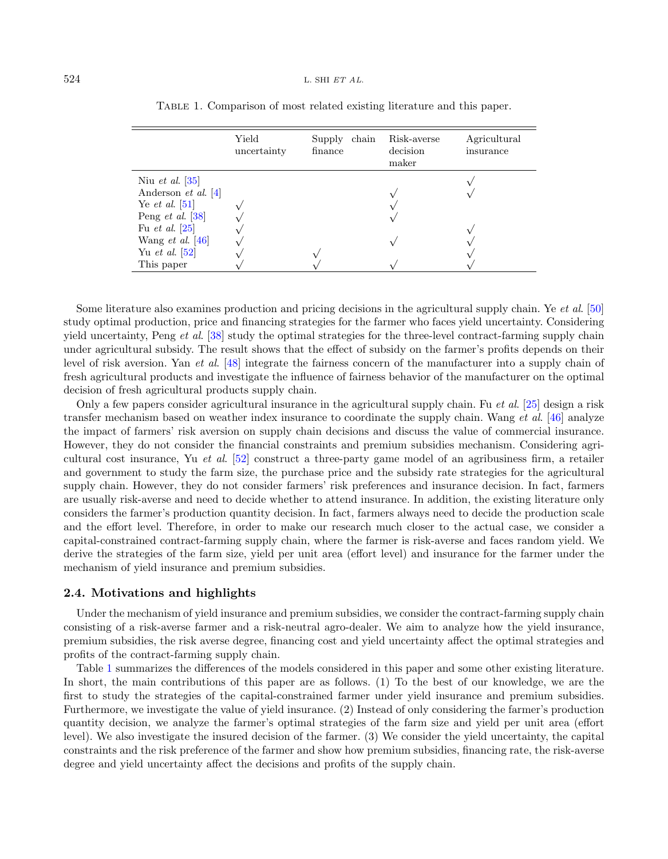|                            | Yield<br>uncertainty | chain<br>Supply<br>finance | Risk-averse<br>decision<br>maker | Agricultural<br>insurance |
|----------------------------|----------------------|----------------------------|----------------------------------|---------------------------|
| Niu et al. $ 35 $          |                      |                            |                                  |                           |
| Anderson <i>et al.</i> [4] |                      |                            |                                  |                           |
| Ye <i>et al.</i> [51]      |                      |                            |                                  |                           |
| Peng <i>et al.</i> [38]    |                      |                            |                                  |                           |
| Fu <i>et al.</i> $[25]$    |                      |                            |                                  |                           |
| Wang <i>et al.</i> $ 46 $  |                      |                            |                                  |                           |
| Yu <i>et al.</i> $ 52 $    |                      |                            |                                  |                           |
| This paper                 |                      |                            |                                  |                           |

<span id="page-3-0"></span>Table 1. Comparison of most related existing literature and this paper.

Some literature also examines production and pricing decisions in the agricultural supply chain. Ye et al. [\[50\]](#page-23-8) study optimal production, price and financing strategies for the farmer who faces yield uncertainty. Considering yield uncertainty, Peng et al. [\[38\]](#page-22-20) study the optimal strategies for the three-level contract-farming supply chain under agricultural subsidy. The result shows that the effect of subsidy on the farmer's profits depends on their level of risk aversion. Yan et al. [\[48\]](#page-23-9) integrate the fairness concern of the manufacturer into a supply chain of fresh agricultural products and investigate the influence of fairness behavior of the manufacturer on the optimal decision of fresh agricultural products supply chain.

Only a few papers consider agricultural insurance in the agricultural supply chain. Fu et al.  $[25]$  design a risk transfer mechanism based on weather index insurance to coordinate the supply chain. Wang *et al.* [\[46\]](#page-23-6) analyze the impact of farmers' risk aversion on supply chain decisions and discuss the value of commercial insurance. However, they do not consider the financial constraints and premium subsidies mechanism. Considering agricultural cost insurance, Yu et al. [\[52\]](#page-23-7) construct a three-party game model of an agribusiness firm, a retailer and government to study the farm size, the purchase price and the subsidy rate strategies for the agricultural supply chain. However, they do not consider farmers' risk preferences and insurance decision. In fact, farmers are usually risk-averse and need to decide whether to attend insurance. In addition, the existing literature only considers the farmer's production quantity decision. In fact, farmers always need to decide the production scale and the effort level. Therefore, in order to make our research much closer to the actual case, we consider a capital-constrained contract-farming supply chain, where the farmer is risk-averse and faces random yield. We derive the strategies of the farm size, yield per unit area (effort level) and insurance for the farmer under the mechanism of yield insurance and premium subsidies.

### 2.4. Motivations and highlights

Under the mechanism of yield insurance and premium subsidies, we consider the contract-farming supply chain consisting of a risk-averse farmer and a risk-neutral agro-dealer. We aim to analyze how the yield insurance, premium subsidies, the risk averse degree, financing cost and yield uncertainty affect the optimal strategies and profits of the contract-farming supply chain.

Table [1](#page-3-0) summarizes the differences of the models considered in this paper and some other existing literature. In short, the main contributions of this paper are as follows. (1) To the best of our knowledge, we are the first to study the strategies of the capital-constrained farmer under yield insurance and premium subsidies. Furthermore, we investigate the value of yield insurance. (2) Instead of only considering the farmer's production quantity decision, we analyze the farmer's optimal strategies of the farm size and yield per unit area (effort level). We also investigate the insured decision of the farmer. (3) We consider the yield uncertainty, the capital constraints and the risk preference of the farmer and show how premium subsidies, financing rate, the risk-averse degree and yield uncertainty affect the decisions and profits of the supply chain.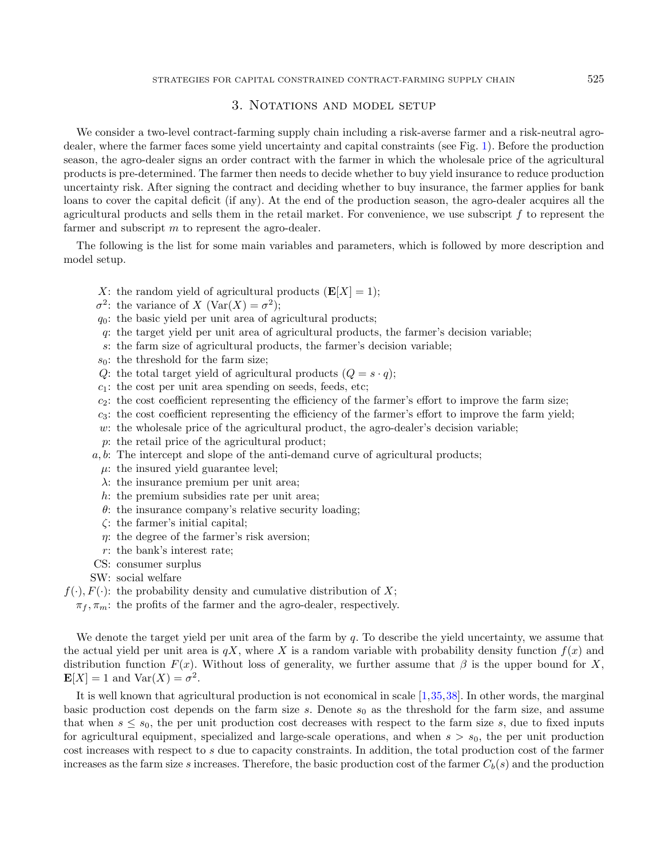### 3. NOTATIONS AND MODEL SETUP

<span id="page-4-0"></span>We consider a two-level contract-farming supply chain including a risk-averse farmer and a risk-neutral agrodealer, where the farmer faces some yield uncertainty and capital constraints (see Fig. [1\)](#page-1-0). Before the production season, the agro-dealer signs an order contract with the farmer in which the wholesale price of the agricultural products is pre-determined. The farmer then needs to decide whether to buy yield insurance to reduce production uncertainty risk. After signing the contract and deciding whether to buy insurance, the farmer applies for bank loans to cover the capital deficit (if any). At the end of the production season, the agro-dealer acquires all the agricultural products and sells them in the retail market. For convenience, we use subscript f to represent the farmer and subscript m to represent the agro-dealer.

The following is the list for some main variables and parameters, which is followed by more description and model setup.

- X: the random yield of agricultural products  $(E[X] = 1);$
- $\sigma^2$ : the variance of X (Var(X) =  $\sigma^2$ );
- $q_0$ : the basic yield per unit area of agricultural products;
- q: the target yield per unit area of agricultural products, the farmer's decision variable;
- s: the farm size of agricultural products, the farmer's decision variable;
- $s_0$ : the threshold for the farm size;
- Q: the total target yield of agricultural products  $(Q = s \cdot q);$
- $c_1$ : the cost per unit area spending on seeds, feeds, etc;
- $c_2$ : the cost coefficient representing the efficiency of the farmer's effort to improve the farm size;
- $c_3$ : the cost coefficient representing the efficiency of the farmer's effort to improve the farm yield;
- w: the wholesale price of the agricultural product, the agro-dealer's decision variable;
- p: the retail price of the agricultural product;
- a, b: The intercept and slope of the anti-demand curve of agricultural products;
	- $\mu$ : the insured yield guarantee level;
	- $\lambda$ : the insurance premium per unit area;
	- h: the premium subsidies rate per unit area;
	- $\theta$ : the insurance company's relative security loading;
	- ζ: the farmer's initial capital;
	- $\eta$ : the degree of the farmer's risk aversion;
- r: the bank's interest rate;
- CS: consumer surplus
- SW: social welfare
- $f(\cdot), F(\cdot)$ : the probability density and cumulative distribution of X;
	- $\pi_f$ ,  $\pi_m$ : the profits of the farmer and the agro-dealer, respectively.

We denote the target yield per unit area of the farm by  $q$ . To describe the yield uncertainty, we assume that the actual yield per unit area is  $qX$ , where X is a random variable with probability density function  $f(x)$  and distribution function  $F(x)$ . Without loss of generality, we further assume that  $\beta$  is the upper bound for X,  $\mathbf{E}[X] = 1$  and  $\text{Var}(X) = \sigma^2$ .

It is well known that agricultural production is not economical in scale [\[1,](#page-21-3)[35,](#page-22-18)[38\]](#page-22-20). In other words, the marginal basic production cost depends on the farm size s. Denote  $s_0$  as the threshold for the farm size, and assume that when  $s \leq s_0$ , the per unit production cost decreases with respect to the farm size s, due to fixed inputs for agricultural equipment, specialized and large-scale operations, and when  $s > s<sub>0</sub>$ , the per unit production cost increases with respect to s due to capacity constraints. In addition, the total production cost of the farmer increases as the farm size s increases. Therefore, the basic production cost of the farmer  $C_b(s)$  and the production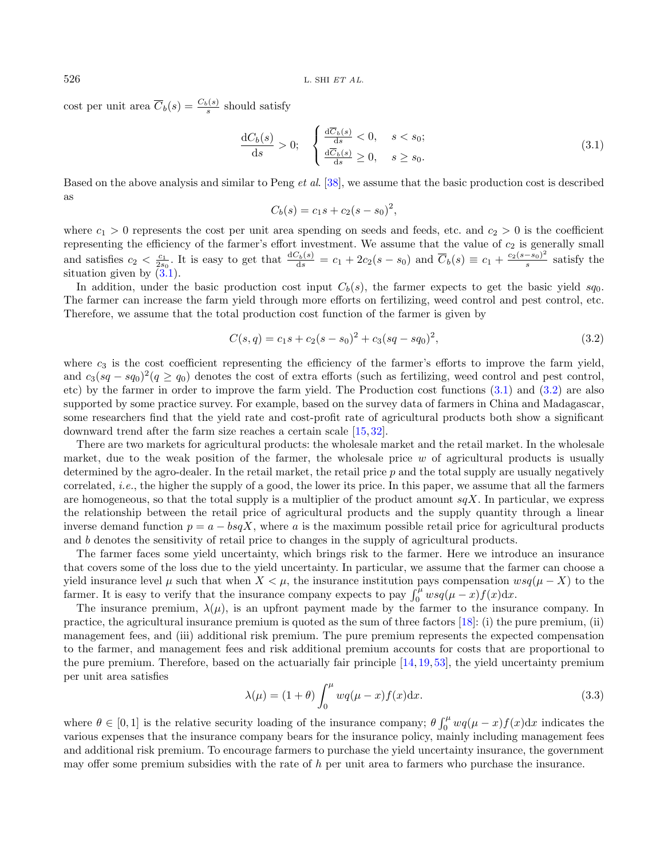cost per unit area  $\overline{C}_b(s) = \frac{C_b(s)}{s}$  should satisfy

<span id="page-5-0"></span>
$$
\frac{\mathrm{d}C_b(s)}{\mathrm{d}s} > 0; \quad \begin{cases} \frac{\mathrm{d}\overline{C}_b(s)}{\mathrm{d}s} < 0, \quad s < s_0; \\ \frac{\mathrm{d}\overline{C}_b(s)}{\mathrm{d}s} \ge 0, \quad s \ge s_0. \end{cases} \tag{3.1}
$$

Based on the above analysis and similar to Peng *et al.* [\[38\]](#page-22-20), we assume that the basic production cost is described as

<span id="page-5-1"></span>
$$
C_b(s) = c_1s + c_2(s - s_0)^2,
$$

where  $c_1 > 0$  represents the cost per unit area spending on seeds and feeds, etc. and  $c_2 > 0$  is the coefficient representing the efficiency of the farmer's effort investment. We assume that the value of  $c_2$  is generally small and satisfies  $c_2 < \frac{c_1}{2s_0}$ . It is easy to get that  $\frac{dC_b(s)}{ds} = c_1 + 2c_2(s - s_0)$  and  $\overline{C}_b(s) \equiv c_1 + \frac{c_2(s - s_0)^2}{s}$  $\frac{-s_0}{s}$  satisfy the situation given by  $(3.1)$ .

In addition, under the basic production cost input  $C_b(s)$ , the farmer expects to get the basic yield sq<sub>0</sub>. The farmer can increase the farm yield through more efforts on fertilizing, weed control and pest control, etc. Therefore, we assume that the total production cost function of the farmer is given by

$$
C(s,q) = c_1s + c_2(s - s_0)^2 + c_3(sq - sq_0)^2,
$$
\n(3.2)

where  $c_3$  is the cost coefficient representing the efficiency of the farmer's efforts to improve the farm yield, and  $c_3(sq - sq_0)^2(q \ge q_0)$  denotes the cost of extra efforts (such as fertilizing, weed control and pest control, etc) by the farmer in order to improve the farm yield. The Production cost functions [\(3.1\)](#page-5-0) and [\(3.2\)](#page-5-1) are also supported by some practice survey. For example, based on the survey data of farmers in China and Madagascar, some researchers find that the yield rate and cost-profit rate of agricultural products both show a significant downward trend after the farm size reaches a certain scale [\[15,](#page-22-22) [32\]](#page-22-23).

There are two markets for agricultural products: the wholesale market and the retail market. In the wholesale market, due to the weak position of the farmer, the wholesale price  $w$  of agricultural products is usually determined by the agro-dealer. In the retail market, the retail price  $p$  and the total supply are usually negatively correlated, i.e., the higher the supply of a good, the lower its price. In this paper, we assume that all the farmers are homogeneous, so that the total supply is a multiplier of the product amount  $sqX$ . In particular, we express the relationship between the retail price of agricultural products and the supply quantity through a linear inverse demand function  $p = a - bgX$ , where a is the maximum possible retail price for agricultural products and b denotes the sensitivity of retail price to changes in the supply of agricultural products.

<span id="page-5-2"></span>The farmer faces some yield uncertainty, which brings risk to the farmer. Here we introduce an insurance that covers some of the loss due to the yield uncertainty. In particular, we assume that the farmer can choose a yield insurance level  $\mu$  such that when  $X < \mu$ , the insurance institution pays compensation  $wsq(\mu - X)$  to the farmer. It is easy to verify that the insurance company expects to pay  $\int_0^{\mu} w s q(\mu - x) f(x) dx$ .

The insurance premium,  $\lambda(\mu)$ , is an upfront payment made by the farmer to the insurance company. In practice, the agricultural insurance premium is quoted as the sum of three factors [\[18\]](#page-22-24): (i) the pure premium, (ii) management fees, and (iii) additional risk premium. The pure premium represents the expected compensation to the farmer, and management fees and risk additional premium accounts for costs that are proportional to the pure premium. Therefore, based on the actuarially fair principle [\[14,](#page-22-25) [19,](#page-22-26) [53\]](#page-23-0), the yield uncertainty premium per unit area satisfies

$$
\lambda(\mu) = (1+\theta) \int_0^{\mu} wq(\mu-x)f(x)dx.
$$
\n(3.3)

where  $\theta \in [0,1]$  is the relative security loading of the insurance company;  $\theta \int_0^{\mu} w q(\mu - x) f(x) dx$  indicates the various expenses that the insurance company bears for the insurance policy, mainly including management fees and additional risk premium. To encourage farmers to purchase the yield uncertainty insurance, the government may offer some premium subsidies with the rate of h per unit area to farmers who purchase the insurance.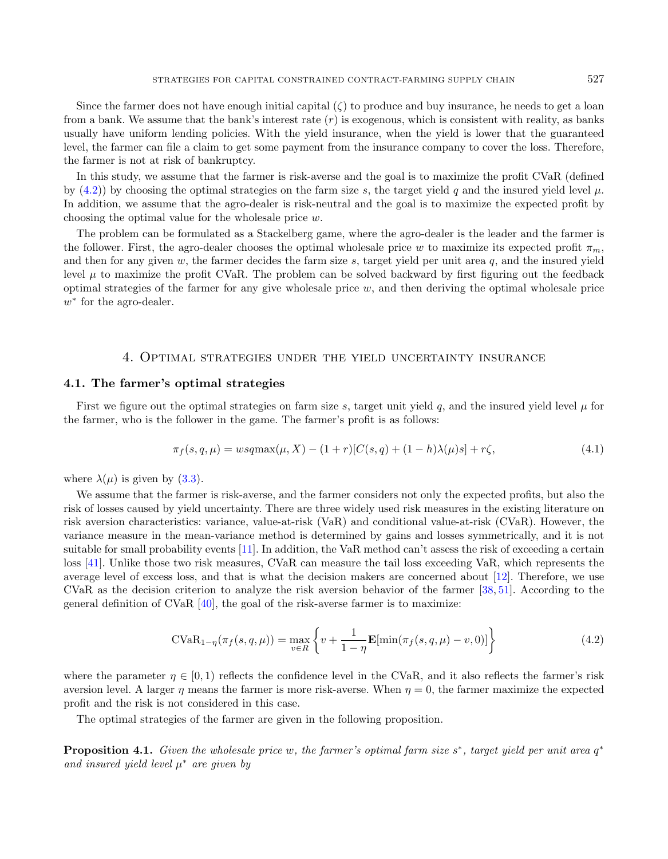Since the farmer does not have enough initial capital  $(\zeta)$  to produce and buy insurance, he needs to get a loan from a bank. We assume that the bank's interest rate  $(r)$  is exogenous, which is consistent with reality, as banks usually have uniform lending policies. With the yield insurance, when the yield is lower that the guaranteed level, the farmer can file a claim to get some payment from the insurance company to cover the loss. Therefore, the farmer is not at risk of bankruptcy.

In this study, we assume that the farmer is risk-averse and the goal is to maximize the profit CVaR (defined by [\(4.2\)](#page-6-1)) by choosing the optimal strategies on the farm size s, the target yield q and the insured yield level  $\mu$ . In addition, we assume that the agro-dealer is risk-neutral and the goal is to maximize the expected profit by choosing the optimal value for the wholesale price w.

The problem can be formulated as a Stackelberg game, where the agro-dealer is the leader and the farmer is the follower. First, the agro-dealer chooses the optimal wholesale price w to maximize its expected profit  $\pi_m$ , and then for any given  $w$ , the farmer decides the farm size  $s$ , target yield per unit area  $q$ , and the insured yield level  $\mu$  to maximize the profit CVaR. The problem can be solved backward by first figuring out the feedback optimal strategies of the farmer for any give wholesale price  $w$ , and then deriving the optimal wholesale price  $w^*$  for the agro-dealer.

### 4. Optimal strategies under the yield uncertainty insurance

#### <span id="page-6-0"></span>4.1. The farmer's optimal strategies

First we figure out the optimal strategies on farm size s, target unit yield q, and the insured yield level  $\mu$  for the farmer, who is the follower in the game. The farmer's profit is as follows:

<span id="page-6-3"></span><span id="page-6-1"></span>
$$
\pi_f(s, q, \mu) = wsq \max(\mu, X) - (1+r)[C(s, q) + (1-h)\lambda(\mu)s] + r\zeta,
$$
\n(4.1)

where  $\lambda(\mu)$  is given by [\(3.3\)](#page-5-2).

We assume that the farmer is risk-averse, and the farmer considers not only the expected profits, but also the risk of losses caused by yield uncertainty. There are three widely used risk measures in the existing literature on risk aversion characteristics: variance, value-at-risk (VaR) and conditional value-at-risk (CVaR). However, the variance measure in the mean-variance method is determined by gains and losses symmetrically, and it is not suitable for small probability events [\[11\]](#page-22-27). In addition, the VaR method can't assess the risk of exceeding a certain loss [\[41\]](#page-23-10). Unlike those two risk measures, CVaR can measure the tail loss exceeding VaR, which represents the average level of excess loss, and that is what the decision makers are concerned about [\[12\]](#page-22-28). Therefore, we use CVaR as the decision criterion to analyze the risk aversion behavior of the farmer [\[38,](#page-22-20) [51\]](#page-23-5). According to the general definition of CVaR  $[40]$ , the goal of the risk-averse farmer is to maximize:

<span id="page-6-2"></span>
$$
CVaR_{1-\eta}(\pi_f(s, q, \mu)) = \max_{v \in R} \left\{ v + \frac{1}{1-\eta} \mathbf{E}[\min(\pi_f(s, q, \mu) - v, 0)] \right\}
$$
(4.2)

where the parameter  $\eta \in [0,1)$  reflects the confidence level in the CVaR, and it also reflects the farmer's risk aversion level. A larger  $\eta$  means the farmer is more risk-averse. When  $\eta = 0$ , the farmer maximize the expected profit and the risk is not considered in this case.

The optimal strategies of the farmer are given in the following proposition.

**Proposition 4.1.** Given the wholesale price w, the farmer's optimal farm size  $s^*$ , target yield per unit area  $q^*$ and insured yield level  $\mu^*$  are given by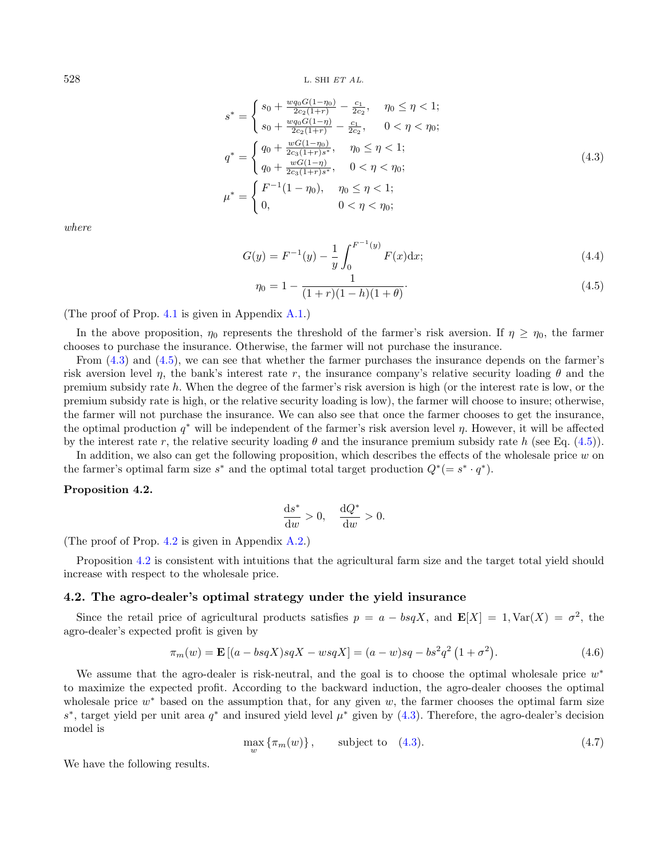$528$  L. SHI ET AL.

<span id="page-7-0"></span>
$$
s^* = \begin{cases} s_0 + \frac{w_{q_0}G(1-\eta_0)}{2c_2(1+r)} - \frac{c_1}{2c_2}, & \eta_0 \le \eta < 1; \\ s_0 + \frac{w_{q_0}G(1-\eta)}{2c_2(1+r)} - \frac{c_1}{2c_2}, & 0 < \eta < \eta_0; \end{cases}
$$
\n
$$
q^* = \begin{cases} q_0 + \frac{wG(1-\eta_0)}{2c_3(1+r)s^*}, & \eta_0 \le \eta < 1; \\ q_0 + \frac{wG(1-\eta)}{2c_3(1+r)s^*}, & 0 < \eta < \eta_0; \\ 0, & \eta < \eta < 1; \end{cases} \tag{4.3}
$$

where

$$
G(y) = F^{-1}(y) - \frac{1}{y} \int_0^{F^{-1}(y)} F(x) dx; \tag{4.4}
$$

<span id="page-7-1"></span>
$$
\eta_0 = 1 - \frac{1}{(1+r)(1-h)(1+\theta)}.\tag{4.5}
$$

(The proof of Prop. [4.1](#page-6-2) is given in Appendix [A.1.](#page-16-1))

In the above proposition,  $\eta_0$  represents the threshold of the farmer's risk aversion. If  $\eta \geq \eta_0$ , the farmer chooses to purchase the insurance. Otherwise, the farmer will not purchase the insurance.

From [\(4.3\)](#page-7-0) and [\(4.5\)](#page-7-1), we can see that whether the farmer purchases the insurance depends on the farmer's risk aversion level η, the bank's interest rate r, the insurance company's relative security loading  $\theta$  and the premium subsidy rate h. When the degree of the farmer's risk aversion is high (or the interest rate is low, or the premium subsidy rate is high, or the relative security loading is low), the farmer will choose to insure; otherwise, the farmer will not purchase the insurance. We can also see that once the farmer chooses to get the insurance, the optimal production  $q^*$  will be independent of the farmer's risk aversion level  $\eta$ . However, it will be affected by the interest rate r, the relative security loading  $\theta$  and the insurance premium subsidy rate h (see Eq. [\(4.5\)](#page-7-1)).

In addition, we also can get the following proposition, which describes the effects of the wholesale price  $w$  on the farmer's optimal farm size  $s^*$  and the optimal total target production  $Q^*(=s^* \cdot q^*)$ .

#### <span id="page-7-2"></span>Proposition 4.2.

<span id="page-7-4"></span>
$$
\frac{\mathrm{d}s^*}{\mathrm{d}w} > 0, \quad \frac{\mathrm{d}Q^*}{\mathrm{d}w} > 0.
$$

(The proof of Prop. [4.2](#page-7-2) is given in Appendix [A.2.](#page-18-0))

Proposition [4.2](#page-7-2) is consistent with intuitions that the agricultural farm size and the target total yield should increase with respect to the wholesale price.

### 4.2. The agro-dealer's optimal strategy under the yield insurance

Since the retail price of agricultural products satisfies  $p = a - bgX$ , and  $\mathbf{E}[X] = 1$ , Var $(X) = \sigma^2$ , the agro-dealer's expected profit is given by

<span id="page-7-3"></span>
$$
\pi_m(w) = \mathbf{E} \left[ (a - bs qX) s qX - ws qX \right] = (a - w)sq - bs^2 q^2 (1 + \sigma^2). \tag{4.6}
$$

We assume that the agro-dealer is risk-neutral, and the goal is to choose the optimal wholesale price  $w^*$ to maximize the expected profit. According to the backward induction, the agro-dealer chooses the optimal wholesale price  $w^*$  based on the assumption that, for any given  $w$ , the farmer chooses the optimal farm size s<sup>\*</sup>, target yield per unit area  $q^*$  and insured yield level  $\mu^*$  given by [\(4.3\)](#page-7-0). Therefore, the agro-dealer's decision model is

$$
\max_{w} \{\pi_m(w)\}, \qquad \text{subject to} \quad (4.3). \tag{4.7}
$$

We have the following results.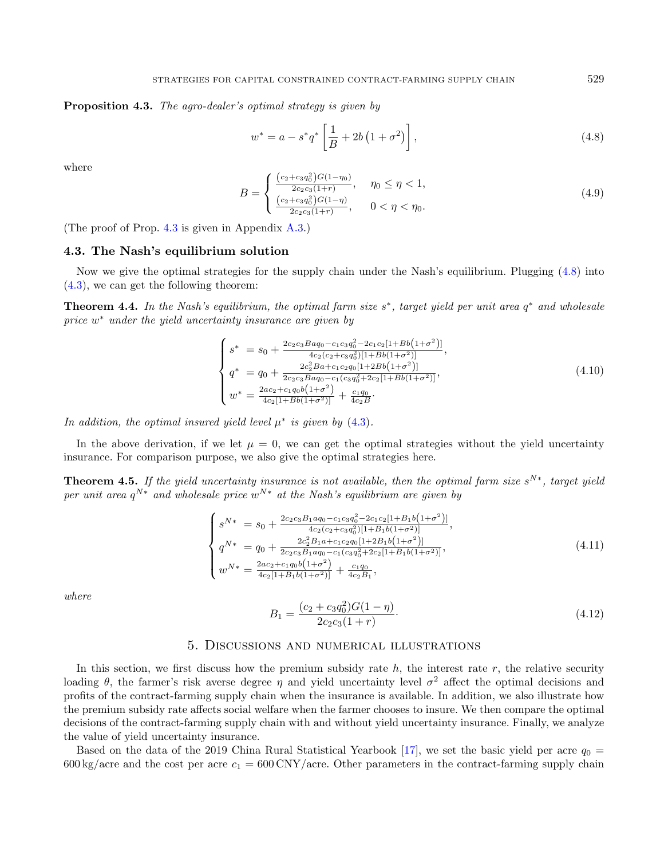<span id="page-8-4"></span>Proposition 4.3. The agro-dealer's optimal strategy is given by

<span id="page-8-2"></span><span id="page-8-1"></span>
$$
w^* = a - s^* q^* \left[ \frac{1}{B} + 2b \left( 1 + \sigma^2 \right) \right],
$$
\n(4.8)

where

$$
B = \begin{cases} \frac{(c_2 + c_3 q_0^2) G (1 - \eta_0)}{2c_2 c_3 (1 + r)}, & \eta_0 \le \eta < 1, \\ \frac{(c_2 + c_3 q_0^2) G (1 - \eta)}{2c_2 c_3 (1 + r)}, & 0 < \eta < \eta_0. \end{cases} \tag{4.9}
$$

(The proof of Prop. [4.3](#page-7-3) is given in Appendix [A.3.](#page-19-0))

### 4.3. The Nash's equilibrium solution

Now we give the optimal strategies for the supply chain under the Nash's equilibrium. Plugging [\(4.8\)](#page-8-1) into [\(4.3\)](#page-7-0), we can get the following theorem:

**Theorem 4.4.** In the Nash's equilibrium, the optimal farm size  $s^*$ , target yield per unit area  $q^*$  and wholesale price  $w^*$  under the yield uncertainty insurance are given by

$$
\begin{cases}\ns^* = s_0 + \frac{2c_2c_3Baq_0 - c_1c_3q_0^2 - 2c_1c_2[1+Bb(1+\sigma^2)]}{4c_2(c_2 + c_3q_0^2)[1+Bb(1+\sigma^2)]},\\
q^* = q_0 + \frac{2c_2^2Ba + c_1c_2q_0[1+2Bb(1+\sigma^2)]}{2c_2c_3Baq_0 - c_1(c_3q_0^2 + 2c_2[1+Bb(1+\sigma^2)]},\\
w^* = \frac{2ac_2 + c_1q_0b(1+\sigma^2)}{4c_2[1+Bb(1+\sigma^2)]} + \frac{c_1q_0}{4c_2B}.\n\end{cases} \tag{4.10}
$$

In addition, the optimal insured yield level  $\mu^*$  is given by [\(4.3\)](#page-7-0).

<span id="page-8-5"></span>In the above derivation, if we let  $\mu = 0$ , we can get the optimal strategies without the yield uncertainty insurance. For comparison purpose, we also give the optimal strategies here.

**Theorem 4.5.** If the yield uncertainty insurance is not available, then the optimal farm size  $s^{N*}$ , target yield per unit area  $q^{N*}$  and wholesale price  $w^{N*}$  at the Nash's equilibrium are given by

<span id="page-8-3"></span>
$$
\begin{cases}\ns^{N*} = s_0 + \frac{2c_2c_3B_1aq_0 - c_1c_3q_0^2 - 2c_1c_2[1 + B_1b(1 + \sigma^2)]}{4c_2(c_2 + c_3q_0^2)[1 + B_1b(1 + \sigma^2)]}, \\
q^{N*} = q_0 + \frac{2c_2^2B_1a + c_1c_2q_0[1 + 2B_1b(1 + \sigma^2)]}{2c_2c_3B_1aq_0 - c_1(c_3q_0^2 + 2c_2[1 + B_1b(1 + \sigma^2)]}, \\
w^{N*} = \frac{2ac_2 + c_1q_0b(1 + \sigma^2)}{4c_2[1 + B_1b(1 + \sigma^2)]} + \frac{c_1q_0}{4c_2B_1},\n\end{cases} (4.11)
$$

where

$$
B_1 = \frac{(c_2 + c_3 q_0^2)G(1 - \eta)}{2c_2 c_3 (1 + r)}.
$$
\n(4.12)

### 5. Discussions and numerical illustrations

<span id="page-8-0"></span>In this section, we first discuss how the premium subsidy rate  $h$ , the interest rate  $r$ , the relative security loading  $\theta$ , the farmer's risk averse degree  $\eta$  and yield uncertainty level  $\sigma^2$  affect the optimal decisions and profits of the contract-farming supply chain when the insurance is available. In addition, we also illustrate how the premium subsidy rate affects social welfare when the farmer chooses to insure. We then compare the optimal decisions of the contract-farming supply chain with and without yield uncertainty insurance. Finally, we analyze the value of yield uncertainty insurance.

Based on the data of the 2019 China Rural Statistical Yearbook [\[17\]](#page-22-29), we set the basic yield per acre  $q_0 =$  $600 \text{ kg/acre}$  and the cost per acre  $c_1 = 600 \text{ CNY/acre}$ . Other parameters in the contract-farming supply chain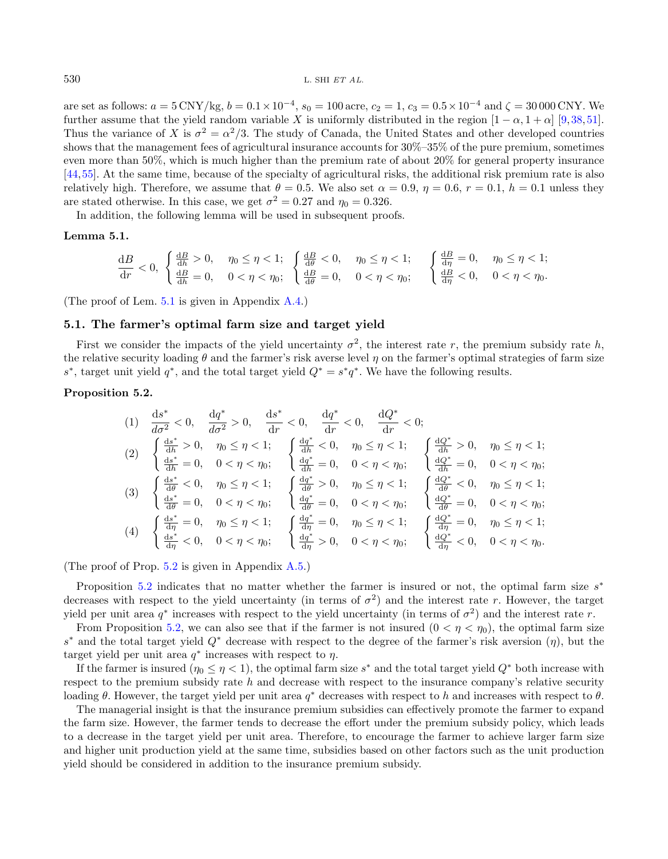<span id="page-9-0"></span>are set as follows:  $a = 5 \text{ CNY/kg}$ ,  $b = 0.1 \times 10^{-4}$ ,  $s_0 = 100 \text{ acre}$ ,  $c_2 = 1$ ,  $c_3 = 0.5 \times 10^{-4}$  and  $\zeta = 30000 \text{ CNY}$ . We further assume that the yield random variable X is uniformly distributed in the region  $[1 - \alpha, 1 + \alpha]$  [\[9,](#page-22-30)[38,](#page-22-20)[51\]](#page-23-5). Thus the variance of X is  $\sigma^2 = \alpha^2/3$ . The study of Canada, the United States and other developed countries shows that the management fees of agricultural insurance accounts for 30%–35% of the pure premium, sometimes even more than 50%, which is much higher than the premium rate of about 20% for general property insurance [\[44,](#page-23-12)[55\]](#page-23-13). At the same time, because of the specialty of agricultural risks, the additional risk premium rate is also relatively high. Therefore, we assume that  $\theta = 0.5$ . We also set  $\alpha = 0.9$ ,  $\eta = 0.6$ ,  $r = 0.1$ ,  $h = 0.1$  unless they are stated otherwise. In this case, we get  $\sigma^2 = 0.27$  and  $\eta_0 = 0.326$ .

In addition, the following lemma will be used in subsequent proofs.

#### Lemma 5.1.

<span id="page-9-1"></span>
$$
\frac{dB}{dr} < 0, \begin{cases} \frac{dB}{dh} > 0, & \eta_0 \le \eta < 1; \\ \frac{dB}{dh} = 0, & 0 < \eta < \eta_0; \end{cases} \begin{cases} \frac{dB}{d\theta} < 0, & \eta_0 \le \eta < 1; \\ \frac{dB}{d\theta} = 0, & 0 < \eta < \eta_0; \end{cases} \begin{cases} \frac{dB}{d\eta} = 0, & \eta_0 \le \eta < 1; \\ \frac{dB}{d\eta} < 0, & 0 < \eta < \eta_0. \end{cases}
$$

(The proof of Lem. [5.1](#page-9-0) is given in Appendix [A.4.](#page-19-1))

### 5.1. The farmer's optimal farm size and target yield

First we consider the impacts of the yield uncertainty  $\sigma^2$ , the interest rate r, the premium subsidy rate h, the relative security loading  $\theta$  and the farmer's risk averse level  $\eta$  on the farmer's optimal strategies of farm size s<sup>\*</sup>, target unit yield  $q^*$ , and the total target yield  $Q^* = s^*q^*$ . We have the following results.

### Proposition 5.2.

$$
(1) \frac{ds^*}{d\sigma^2} < 0, \frac{dq^*}{d\sigma^2} > 0, \frac{ds^*}{dr} < 0, \frac{dq^*}{dr} < 0, \frac{dQ^*}{dr} < 0;
$$
\n
$$
(2) \begin{cases} \frac{ds^*}{dh} > 0, \eta_0 \le \eta < 1; \\ \frac{ds^*}{dh} = 0, \eta < \eta < \eta_0; \end{cases} \begin{cases} \frac{dq^*}{dh} < 0, \eta_0 \le \eta < 1; \\ \frac{dq^*}{dh} = 0, \eta < \eta < \eta_0; \end{cases} \begin{cases} \frac{dq^*}{dh} < 0, \eta_0 \le \eta < 1; \\ \frac{dq^*}{dh} = 0, \eta < \eta < \eta_0; \end{cases} \begin{cases} \frac{dq^*}{dh} = 0, \eta < \eta < \eta_0; \\ \frac{dq^*}{dh} = 0, \eta_0 \le \eta < 1; \\ \frac{dq^*}{d\theta} = 0, \eta_0 \le \eta < \eta_0; \end{cases} \begin{cases} \frac{dq^*}{d\theta} > 0, \eta_0 \le \eta < 1; \\ \frac{dq^*}{d\theta} = 0, \eta_0 < \eta < \eta_0; \\ \frac{dq^*}{d\theta} = 0, \eta_0 < \eta < \eta_0; \end{cases} \begin{cases} \frac{dq^*}{d\theta} < 0, \eta_0 \le \eta < 1; \\ \frac{dq^*}{d\theta} = 0, \eta_0 \le \eta < \eta_0; \\ \frac{dq^*}{d\eta} = 0, \eta_0 \le \eta < 1; \\ \frac{dq^*}{d\eta} = 0, \eta_0 \le \eta < \eta_0; \end{cases} \begin{cases} \frac{dq^*}{d\theta} < 0, \eta_0 \le \eta < 1; \\ \frac{dq^*}{d\theta} = 0, \eta_0 \le \eta < 1; \\ \frac{dq^*}{d\eta} = 0, \eta_0 \le \eta < \eta_0; \\ \frac{dq^*}{d\eta} = 0, \eta_0
$$

(The proof of Prop. [5.2](#page-9-1) is given in Appendix [A.5.](#page-19-2))

Proposition [5.2](#page-9-1) indicates that no matter whether the farmer is insured or not, the optimal farm size  $s^*$ decreases with respect to the yield uncertainty (in terms of  $\sigma^2$ ) and the interest rate r. However, the target yield per unit area  $q^*$  increases with respect to the yield uncertainty (in terms of  $\sigma^2$ ) and the interest rate r.

From Proposition [5.2,](#page-9-1) we can also see that if the farmer is not insured  $(0 < \eta < \eta_0)$ , the optimal farm size  $s^*$  and the total target yield  $Q^*$  decrease with respect to the degree of the farmer's risk aversion  $(\eta)$ , but the target yield per unit area  $q^*$  increases with respect to  $\eta$ .

If the farmer is insured  $(\eta_0 \leq \eta < 1)$ , the optimal farm size  $s^*$  and the total target yield  $Q^*$  both increase with respect to the premium subsidy rate  $h$  and decrease with respect to the insurance company's relative security loading  $\theta$ . However, the target yield per unit area  $q^*$  decreases with respect to h and increases with respect to  $\theta$ .

The managerial insight is that the insurance premium subsidies can effectively promote the farmer to expand the farm size. However, the farmer tends to decrease the effort under the premium subsidy policy, which leads to a decrease in the target yield per unit area. Therefore, to encourage the farmer to achieve larger farm size and higher unit production yield at the same time, subsidies based on other factors such as the unit production yield should be considered in addition to the insurance premium subsidy.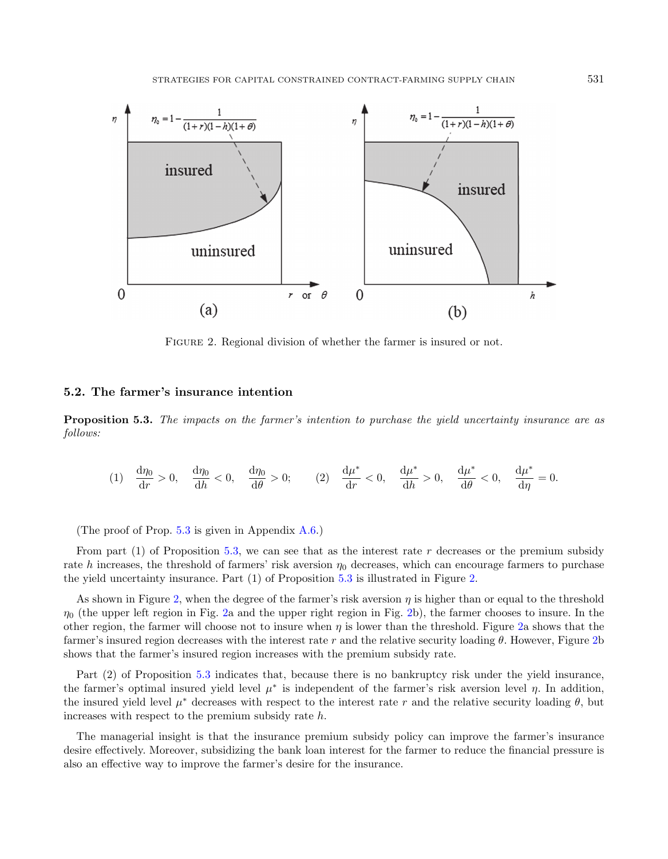<span id="page-10-1"></span>

FIGURE 2. Regional division of whether the farmer is insured or not.

### 5.2. The farmer's insurance intention

<span id="page-10-0"></span>**Proposition 5.3.** The impacts on the farmer's intention to purchase the yield uncertainty insurance are as follows:

$$
(1) \quad \frac{\mathrm{d}\eta_0}{\mathrm{d}r} > 0, \quad \frac{\mathrm{d}\eta_0}{\mathrm{d}h} < 0, \quad \frac{\mathrm{d}\eta_0}{\mathrm{d}\theta} > 0; \qquad (2) \quad \frac{\mathrm{d}\mu^*}{\mathrm{d}r} < 0, \quad \frac{\mathrm{d}\mu^*}{\mathrm{d}h} > 0, \quad \frac{\mathrm{d}\mu^*}{\mathrm{d}\theta} < 0, \quad \frac{\mathrm{d}\mu^*}{\mathrm{d}\eta} = 0.
$$

(The proof of Prop. [5.3](#page-10-0) is given in Appendix [A.6.](#page-20-0))

From part (1) of Proposition [5.3,](#page-10-0) we can see that as the interest rate r decreases or the premium subsidy rate h increases, the threshold of farmers' risk aversion  $\eta_0$  decreases, which can encourage farmers to purchase the yield uncertainty insurance. Part (1) of Proposition [5.3](#page-10-0) is illustrated in Figure [2.](#page-10-1)

As shown in Figure [2,](#page-10-1) when the degree of the farmer's risk aversion  $\eta$  is higher than or equal to the threshold  $\eta_0$  (the upper left region in Fig. [2a](#page-10-1) and the upper right region in Fig. [2b](#page-10-1)), the farmer chooses to insure. In the other region, the farmer will choose not to insure when  $\eta$  is lower than the threshold. Figure [2a](#page-10-1) shows that the farmer's insured region decreases with the interest rate r and the relative security loading  $\theta$ . However, Figure [2b](#page-10-1) shows that the farmer's insured region increases with the premium subsidy rate.

Part (2) of Proposition [5.3](#page-10-0) indicates that, because there is no bankruptcy risk under the yield insurance, the farmer's optimal insured yield level  $\mu^*$  is independent of the farmer's risk aversion level  $\eta$ . In addition, the insured yield level  $\mu^*$  decreases with respect to the interest rate r and the relative security loading  $\theta$ , but increases with respect to the premium subsidy rate h.

The managerial insight is that the insurance premium subsidy policy can improve the farmer's insurance desire effectively. Moreover, subsidizing the bank loan interest for the farmer to reduce the financial pressure is also an effective way to improve the farmer's desire for the insurance.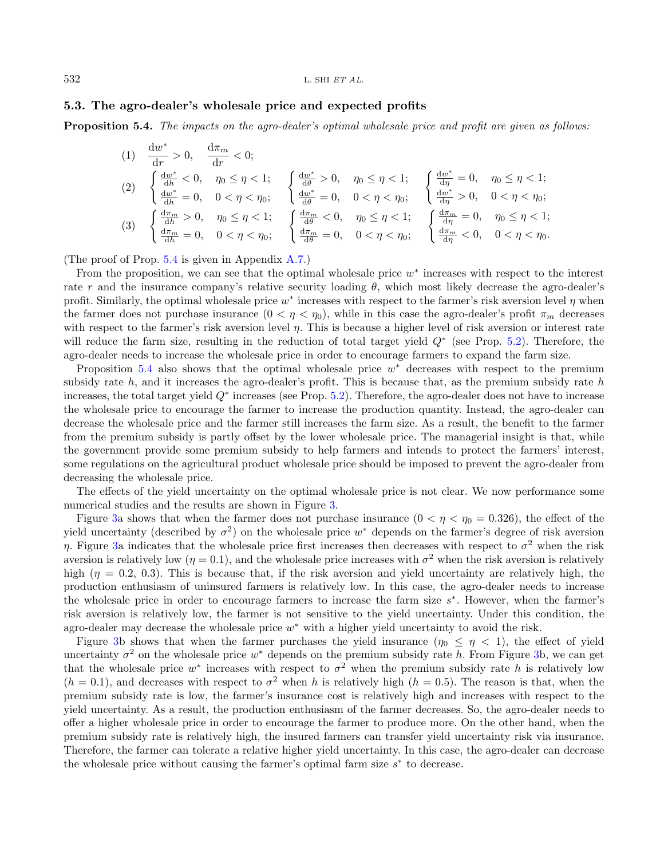#### $532$  L. SHI ET AL.

### 5.3. The agro-dealer's wholesale price and expected profits

<span id="page-11-0"></span>**Proposition 5.4.** The impacts on the agro-dealer's optimal wholesale price and profit are given as follows:

$$
\begin{array}{llll} \text{(1)} & \frac{\mathrm{d}w^{*}}{\mathrm{d}r} > 0, \quad \frac{\mathrm{d}\pi_{m}}{\mathrm{d}r} < 0; \\[0.2cm] & \left\{ \begin{array}{l} \frac{\mathrm{d}w^{*}}{\mathrm{d}h} < 0, \quad \eta_{0} \leq \eta < 1; \\[0.2cm] \frac{\mathrm{d}w^{*}}{\mathrm{d}h} < 0, \quad \eta_{0} \leq \eta < 1; \end{array} \right. & \left\{ \begin{array}{l} \frac{\mathrm{d}w^{*}}{\mathrm{d}\theta} > 0, \quad \eta_{0} \leq \eta < 1; \\[0.2cm] & \left\{ \frac{\mathrm{d}w^{*}}{\mathrm{d}h} = 0, \quad 0 < \eta < \eta_{0}; \end{array} \right. & \left\{ \begin{array}{l} \frac{\mathrm{d}w^{*}}{\mathrm{d}\theta} > 0, \quad \eta_{0} \leq \eta < 1; \\[0.2cm] & \left\{ \frac{\mathrm{d}w^{*}}{\mathrm{d}h} = 0, \quad 0 < \eta < \eta_{0}; \end{array} \right. & \left\{ \begin{array}{l} \frac{\mathrm{d}w^{*}}{\mathrm{d}\theta} = 0, \quad 0 < \eta < \eta_{0}; \\[0.2cm] & \left\{ \frac{\mathrm{d}\pi_{m}}{\mathrm{d}h} = 0, \quad \eta_{0} \leq \eta < 1; \end{array} \right. & \left\{ \begin{array}{l} \frac{\mathrm{d}\pi_{m}}{\mathrm{d}\theta} < 0, \quad \eta_{0} \leq \eta < 1; \\[0.2cm] & \left\{ \frac{\mathrm{d}\pi_{m}}{\mathrm{d}h} = 0, \quad 0 < \eta < \eta_{0}; \end{array} \right. & \left\{ \begin{array}{l} \frac{\mathrm{d}\pi_{m}}{\mathrm{d}\theta} = 0, \quad 0 < \eta < \eta_{0}; \\[0.2cm] & \left\{ \frac{\mathrm{d}\pi_{m}}{\mathrm{d}h} = 0, \quad 0 < \eta < \eta_{0}; \end{array} \right. & \left\{ \begin{array}{l} \frac{\mathrm{d
$$

(The proof of Prop. [5.4](#page-11-0) is given in Appendix [A.7.](#page-20-1))

From the proposition, we can see that the optimal wholesale price  $w^*$  increases with respect to the interest rate r and the insurance company's relative security loading  $\theta$ , which most likely decrease the agro-dealer's profit. Similarly, the optimal wholesale price  $w^*$  increases with respect to the farmer's risk aversion level  $\eta$  when the farmer does not purchase insurance  $(0 < \eta < \eta_0)$ , while in this case the agro-dealer's profit  $\pi_m$  decreases with respect to the farmer's risk aversion level  $\eta$ . This is because a higher level of risk aversion or interest rate will reduce the farm size, resulting in the reduction of total target yield  $Q^*$  (see Prop. [5.2\)](#page-9-1). Therefore, the agro-dealer needs to increase the wholesale price in order to encourage farmers to expand the farm size.

Proposition  $5.4$  also shows that the optimal wholesale price  $w^*$  decreases with respect to the premium subsidy rate  $h$ , and it increases the agro-dealer's profit. This is because that, as the premium subsidy rate  $h$ increases, the total target yield  $Q^*$  increases (see Prop. [5.2\)](#page-9-1). Therefore, the agro-dealer does not have to increase the wholesale price to encourage the farmer to increase the production quantity. Instead, the agro-dealer can decrease the wholesale price and the farmer still increases the farm size. As a result, the benefit to the farmer from the premium subsidy is partly offset by the lower wholesale price. The managerial insight is that, while the government provide some premium subsidy to help farmers and intends to protect the farmers' interest, some regulations on the agricultural product wholesale price should be imposed to prevent the agro-dealer from decreasing the wholesale price.

The effects of the yield uncertainty on the optimal wholesale price is not clear. We now performance some numerical studies and the results are shown in Figure [3.](#page-12-0)

Figure [3a](#page-12-0) shows that when the farmer does not purchase insurance  $(0 < \eta < \eta_0 = 0.326)$ , the effect of the yield uncertainty (described by  $\sigma^2$ ) on the wholesale price  $w^*$  depends on the farmer's degree of risk aversion η. Figure [3a](#page-12-0) indicates that the wholesale price first increases then decreases with respect to  $σ²$  when the risk aversion is relatively low  $(\eta = 0.1)$ , and the wholesale price increases with  $\sigma^2$  when the risk aversion is relatively high ( $\eta = 0.2, 0.3$ ). This is because that, if the risk aversion and yield uncertainty are relatively high, the production enthusiasm of uninsured farmers is relatively low. In this case, the agro-dealer needs to increase the wholesale price in order to encourage farmers to increase the farm size  $s^*$ . However, when the farmer's risk aversion is relatively low, the farmer is not sensitive to the yield uncertainty. Under this condition, the agro-dealer may decrease the wholesale price  $w^*$  with a higher yield uncertainty to avoid the risk.

Figure [3b](#page-12-0) shows that when the farmer purchases the yield insurance  $(\eta_0 \leq \eta \leq 1)$ , the effect of yield uncertainty  $\sigma^2$  on the wholesale price  $w^*$  depends on the premium subsidy rate h. From Figure [3b](#page-12-0), we can get that the wholesale price  $w^*$  increases with respect to  $\sigma^2$  when the premium subsidy rate h is relatively low  $(h = 0.1)$ , and decreases with respect to  $\sigma^2$  when h is relatively high  $(h = 0.5)$ . The reason is that, when the premium subsidy rate is low, the farmer's insurance cost is relatively high and increases with respect to the yield uncertainty. As a result, the production enthusiasm of the farmer decreases. So, the agro-dealer needs to offer a higher wholesale price in order to encourage the farmer to produce more. On the other hand, when the premium subsidy rate is relatively high, the insured farmers can transfer yield uncertainty risk via insurance. Therefore, the farmer can tolerate a relative higher yield uncertainty. In this case, the agro-dealer can decrease the wholesale price without causing the farmer's optimal farm size  $s^*$  to decrease.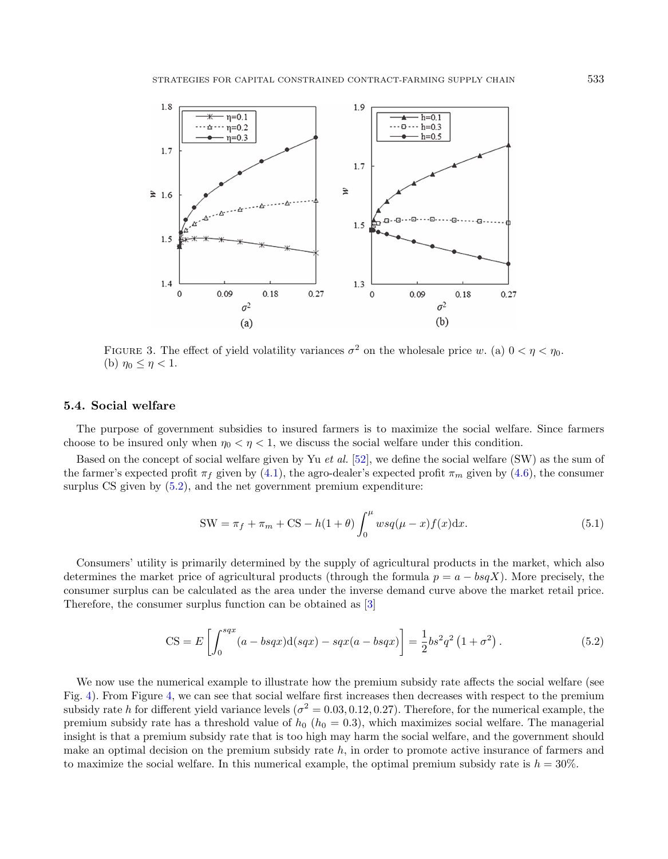<span id="page-12-0"></span>

FIGURE 3. The effect of yield volatility variances  $\sigma^2$  on the wholesale price w. (a)  $0 < \eta < \eta_0$ . (b)  $\eta_0 \leq \eta < 1$ .

#### 5.4. Social welfare

The purpose of government subsidies to insured farmers is to maximize the social welfare. Since farmers choose to be insured only when  $\eta_0 < \eta < 1$ , we discuss the social welfare under this condition.

Based on the concept of social welfare given by Yu et al. [\[52\]](#page-23-7), we define the social welfare (SW) as the sum of the farmer's expected profit  $\pi_f$  given by [\(4.1\)](#page-6-3), the agro-dealer's expected profit  $\pi_m$  given by [\(4.6\)](#page-7-4), the consumer surplus CS given by  $(5.2)$ , and the net government premium expenditure:

<span id="page-12-1"></span>
$$
SW = \pi_f + \pi_m + CS - h(1+\theta) \int_0^{\mu} wsq(\mu - x) f(x) dx.
$$
 (5.1)

Consumers' utility is primarily determined by the supply of agricultural products in the market, which also determines the market price of agricultural products (through the formula  $p = a - bgX$ ). More precisely, the consumer surplus can be calculated as the area under the inverse demand curve above the market retail price. Therefore, the consumer surplus function can be obtained as [\[3\]](#page-21-4)

$$
CS = E\left[\int_0^{sqx} (a - bsqx) d(sqx) - sqx(a - bsqx)\right] = \frac{1}{2}bs^2q^2(1 + \sigma^2).
$$
 (5.2)

We now use the numerical example to illustrate how the premium subsidy rate affects the social welfare (see Fig. [4\)](#page-13-0). From Figure [4,](#page-13-0) we can see that social welfare first increases then decreases with respect to the premium subsidy rate h for different yield variance levels ( $\sigma^2 = 0.03, 0.12, 0.27$ ). Therefore, for the numerical example, the premium subsidy rate has a threshold value of  $h_0$  ( $h_0 = 0.3$ ), which maximizes social welfare. The managerial insight is that a premium subsidy rate that is too high may harm the social welfare, and the government should make an optimal decision on the premium subsidy rate  $h$ , in order to promote active insurance of farmers and to maximize the social welfare. In this numerical example, the optimal premium subsidy rate is  $h = 30\%$ .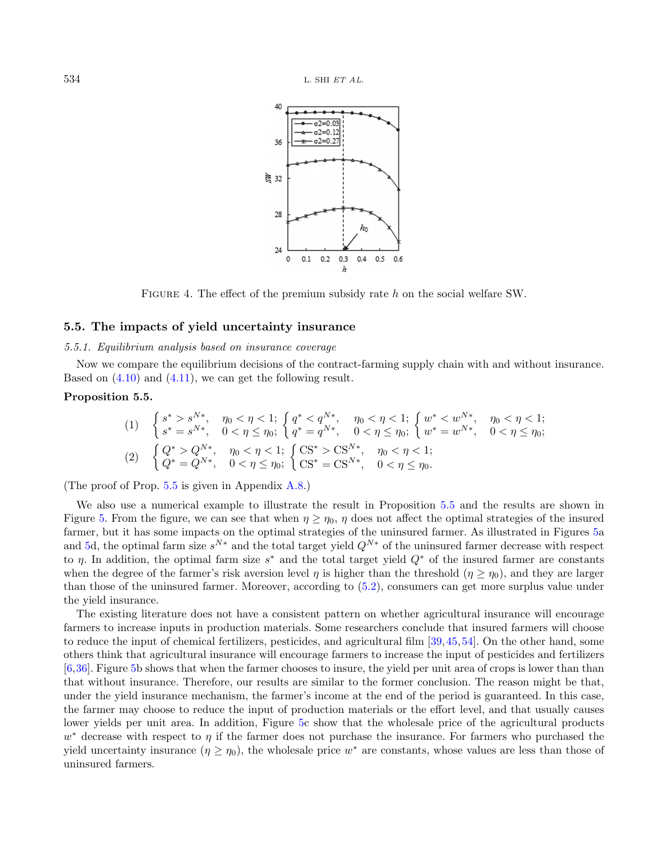<span id="page-13-1"></span><span id="page-13-0"></span>

Figure 4. The effect of the premium subsidy rate h on the social welfare SW.

### 5.5. The impacts of yield uncertainty insurance

### 5.5.1. Equilibrium analysis based on insurance coverage

Now we compare the equilibrium decisions of the contract-farming supply chain with and without insurance. Based on [\(4.10\)](#page-8-2) and [\(4.11\)](#page-8-3), we can get the following result.

#### Proposition 5.5.

$$
(1) \quad\n\begin{cases}\ns^* > s^{N*}, \quad \eta_0 < \eta < 1; \\
s^* = s^{N*}, \quad 0 < \eta \le \eta_0;\n\end{cases}\n\quad\n\begin{cases}\nq^* < q^{N*}, \quad \eta_0 < \eta < 1; \\
q^* = q^{N*}, \quad 0 < \eta \le \eta_0;\n\end{cases}\n\quad\n\begin{cases}\nw^* < w^{N*}, \quad \eta_0 < \eta < 1; \\
w^* = w^{N*}, \quad 0 < \eta \le \eta_0;\n\end{cases}
$$
\n
$$
(2) \quad\n\begin{cases}\nQ^* > Q^{N*}, \quad \eta_0 < \eta < 1; \\
Q^* = Q^{N*}, \quad 0 < \eta \le \eta_0;\n\end{cases}\n\quad\n\begin{cases}\nCS^* > CS^{N*}, \quad \eta_0 < \eta < 1; \\
CS^* = CS^{N*}, \quad 0 < \eta \le \eta_0.\n\end{cases}
$$

(The proof of Prop. [5.5](#page-13-1) is given in Appendix [A.8.](#page-21-5))

We also use a numerical example to illustrate the result in Proposition [5.5](#page-13-1) and the results are shown in Figure [5.](#page-14-0) From the figure, we can see that when  $\eta \geq \eta_0$ ,  $\eta$  does not affect the optimal strategies of the insured farmer, but it has some impacts on the optimal strategies of the uninsured farmer. As illustrated in Figures [5a](#page-14-0) and [5d](#page-14-0), the optimal farm size  $s^{N*}$  and the total target yield  $Q^{N*}$  of the uninsured farmer decrease with respect to  $\eta$ . In addition, the optimal farm size s<sup>\*</sup> and the total target yield  $Q^*$  of the insured farmer are constants when the degree of the farmer's risk aversion level  $\eta$  is higher than the threshold  $(\eta \geq \eta_0)$ , and they are larger than those of the uninsured farmer. Moreover, according to [\(5.2\)](#page-12-1), consumers can get more surplus value under the yield insurance.

The existing literature does not have a consistent pattern on whether agricultural insurance will encourage farmers to increase inputs in production materials. Some researchers conclude that insured farmers will choose to reduce the input of chemical fertilizers, pesticides, and agricultural film [\[39,](#page-23-14)[45,](#page-23-15)[54\]](#page-23-16). On the other hand, some others think that agricultural insurance will encourage farmers to increase the input of pesticides and fertilizers [\[6,](#page-22-31)[36\]](#page-22-32). Figure [5b](#page-14-0) shows that when the farmer chooses to insure, the yield per unit area of crops is lower than than that without insurance. Therefore, our results are similar to the former conclusion. The reason might be that, under the yield insurance mechanism, the farmer's income at the end of the period is guaranteed. In this case, the farmer may choose to reduce the input of production materials or the effort level, and that usually causes lower yields per unit area. In addition, Figure [5c](#page-14-0) show that the wholesale price of the agricultural products  $w^*$  decrease with respect to  $\eta$  if the farmer does not purchase the insurance. For farmers who purchased the yield uncertainty insurance  $(\eta \ge \eta_0)$ , the wholesale price  $w^*$  are constants, whose values are less than those of uninsured farmers.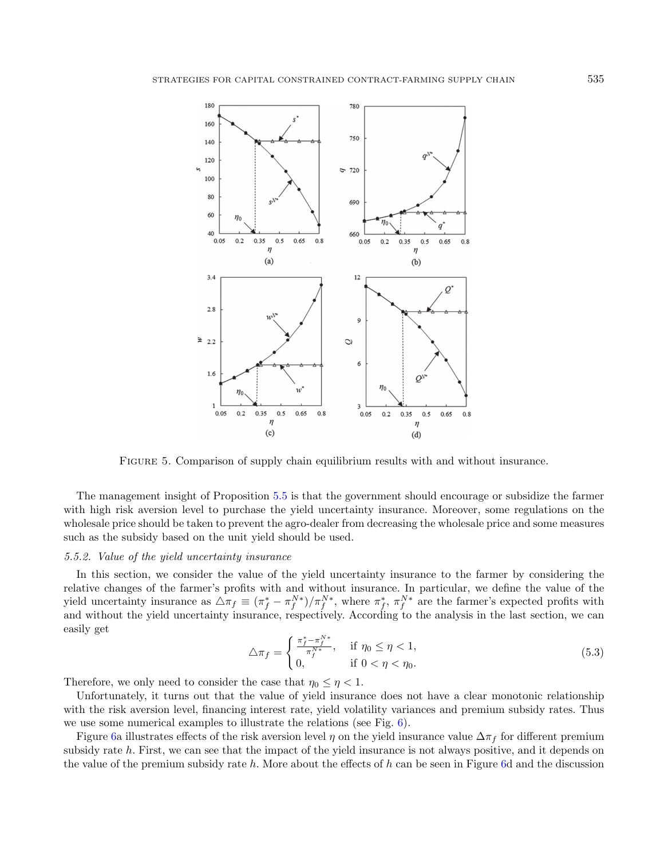

<span id="page-14-0"></span>Figure 5. Comparison of supply chain equilibrium results with and without insurance.

The management insight of Proposition [5.5](#page-13-1) is that the government should encourage or subsidize the farmer with high risk aversion level to purchase the yield uncertainty insurance. Moreover, some regulations on the wholesale price should be taken to prevent the agro-dealer from decreasing the wholesale price and some measures such as the subsidy based on the unit yield should be used.

### 5.5.2. Value of the yield uncertainty insurance

In this section, we consider the value of the yield uncertainty insurance to the farmer by considering the relative changes of the farmer's profits with and without insurance. In particular, we define the value of the yield uncertainty insurance as  $\Delta \pi_f \equiv (\pi_f^* - \pi_f^{N*})/\pi_f^{N*}$ , where  $\pi_f^*$ ,  $\pi_f^{N*}$  are the farmer's expected profits with and without the yield uncertainty insurance, respectively. According to the analysis in the last section, we can easily get

$$
\triangle \pi_f = \begin{cases} \frac{\pi_f^* - \pi_f^{N^*}}{\pi_f^{N^*}}, & \text{if } \eta_0 \le \eta < 1, \\ 0, & \text{if } 0 < \eta < \eta_0. \end{cases}
$$
 (5.3)

Therefore, we only need to consider the case that  $\eta_0 \leq \eta < 1$ .

Unfortunately, it turns out that the value of yield insurance does not have a clear monotonic relationship with the risk aversion level, financing interest rate, yield volatility variances and premium subsidy rates. Thus we use some numerical examples to illustrate the relations (see Fig. [6\)](#page-15-0).

Figure [6a](#page-15-0) illustrates effects of the risk aversion level  $\eta$  on the yield insurance value  $\Delta \pi_f$  for different premium subsidy rate h. First, we can see that the impact of the yield insurance is not always positive, and it depends on the value of the premium subsidy rate h. More about the effects of h can be seen in Figure [6d](#page-15-0) and the discussion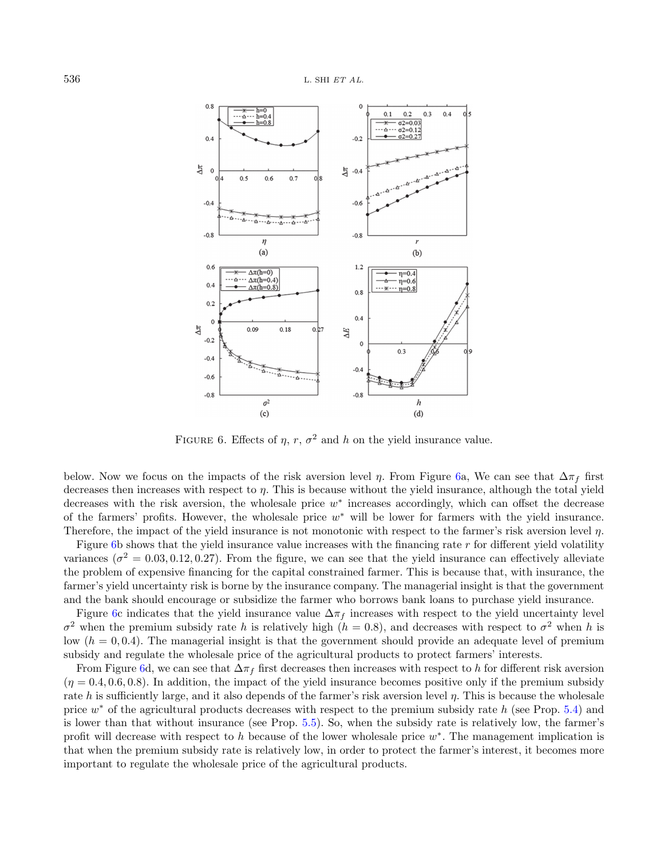

<span id="page-15-0"></span>FIGURE 6. Effects of  $\eta$ ,  $r$ ,  $\sigma^2$  and  $h$  on the yield insurance value.

below. Now we focus on the impacts of the risk aversion level  $\eta$ . From Figure [6a](#page-15-0), We can see that  $\Delta \pi_f$  first decreases then increases with respect to  $\eta$ . This is because without the yield insurance, although the total yield decreases with the risk aversion, the wholesale price  $w^*$  increases accordingly, which can offset the decrease of the farmers' profits. However, the wholesale price  $w^*$  will be lower for farmers with the yield insurance. Therefore, the impact of the yield insurance is not monotonic with respect to the farmer's risk aversion level  $\eta$ .

Figure [6b](#page-15-0) shows that the yield insurance value increases with the financing rate  $r$  for different yield volatility variances ( $\sigma^2 = 0.03, 0.12, 0.27$ ). From the figure, we can see that the yield insurance can effectively alleviate the problem of expensive financing for the capital constrained farmer. This is because that, with insurance, the farmer's yield uncertainty risk is borne by the insurance company. The managerial insight is that the government and the bank should encourage or subsidize the farmer who borrows bank loans to purchase yield insurance.

Figure [6c](#page-15-0) indicates that the yield insurance value  $\Delta \pi_f$  increases with respect to the yield uncertainty level  $\sigma^2$  when the premium subsidy rate h is relatively high ( $h = 0.8$ ), and decreases with respect to  $\sigma^2$  when h is low  $(h = 0, 0.4)$ . The managerial insight is that the government should provide an adequate level of premium subsidy and regulate the wholesale price of the agricultural products to protect farmers' interests.

From Figure [6d](#page-15-0), we can see that  $\Delta \pi_f$  first decreases then increases with respect to h for different risk aversion  $(\eta = 0.4, 0.6, 0.8)$ . In addition, the impact of the yield insurance becomes positive only if the premium subsidy rate h is sufficiently large, and it also depends of the farmer's risk aversion level  $\eta$ . This is because the wholesale price  $w^*$  of the agricultural products decreases with respect to the premium subsidy rate h (see Prop. [5.4\)](#page-11-0) and is lower than that without insurance (see Prop. [5.5\)](#page-13-1). So, when the subsidy rate is relatively low, the farmer's profit will decrease with respect to h because of the lower wholesale price  $w^*$ . The management implication is that when the premium subsidy rate is relatively low, in order to protect the farmer's interest, it becomes more important to regulate the wholesale price of the agricultural products.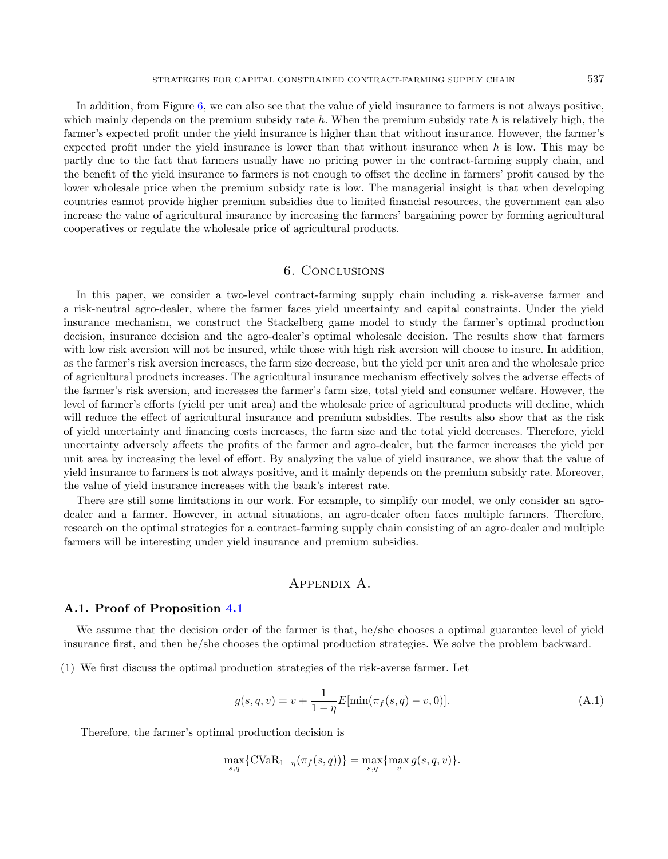In addition, from Figure [6,](#page-15-0) we can also see that the value of yield insurance to farmers is not always positive, which mainly depends on the premium subsidy rate  $h$ . When the premium subsidy rate  $h$  is relatively high, the farmer's expected profit under the yield insurance is higher than that without insurance. However, the farmer's expected profit under the yield insurance is lower than that without insurance when  $h$  is low. This may be partly due to the fact that farmers usually have no pricing power in the contract-farming supply chain, and the benefit of the yield insurance to farmers is not enough to offset the decline in farmers' profit caused by the lower wholesale price when the premium subsidy rate is low. The managerial insight is that when developing countries cannot provide higher premium subsidies due to limited financial resources, the government can also increase the value of agricultural insurance by increasing the farmers' bargaining power by forming agricultural cooperatives or regulate the wholesale price of agricultural products.

## 6. Conclusions

<span id="page-16-0"></span>In this paper, we consider a two-level contract-farming supply chain including a risk-averse farmer and a risk-neutral agro-dealer, where the farmer faces yield uncertainty and capital constraints. Under the yield insurance mechanism, we construct the Stackelberg game model to study the farmer's optimal production decision, insurance decision and the agro-dealer's optimal wholesale decision. The results show that farmers with low risk aversion will not be insured, while those with high risk aversion will choose to insure. In addition, as the farmer's risk aversion increases, the farm size decrease, but the yield per unit area and the wholesale price of agricultural products increases. The agricultural insurance mechanism effectively solves the adverse effects of the farmer's risk aversion, and increases the farmer's farm size, total yield and consumer welfare. However, the level of farmer's efforts (yield per unit area) and the wholesale price of agricultural products will decline, which will reduce the effect of agricultural insurance and premium subsidies. The results also show that as the risk of yield uncertainty and financing costs increases, the farm size and the total yield decreases. Therefore, yield uncertainty adversely affects the profits of the farmer and agro-dealer, but the farmer increases the yield per unit area by increasing the level of effort. By analyzing the value of yield insurance, we show that the value of yield insurance to farmers is not always positive, and it mainly depends on the premium subsidy rate. Moreover, the value of yield insurance increases with the bank's interest rate.

There are still some limitations in our work. For example, to simplify our model, we only consider an agrodealer and a farmer. However, in actual situations, an agro-dealer often faces multiple farmers. Therefore, research on the optimal strategies for a contract-farming supply chain consisting of an agro-dealer and multiple farmers will be interesting under yield insurance and premium subsidies.

### <span id="page-16-2"></span>Appendix A.

### <span id="page-16-1"></span>A.1. Proof of Proposition [4.1](#page-6-2)

We assume that the decision order of the farmer is that, he/she chooses a optimal guarantee level of yield insurance first, and then he/she chooses the optimal production strategies. We solve the problem backward.

(1) We first discuss the optimal production strategies of the risk-averse farmer. Let

$$
g(s, q, v) = v + \frac{1}{1 - \eta} E[\min(\pi_f(s, q) - v, 0)].
$$
\n(A.1)

Therefore, the farmer's optimal production decision is

$$
\max_{s,q} \{ \text{CVaR}_{1-\eta}(\pi_f(s,q)) \} = \max_{s,q} \{ \max_v g(s,q,v) \}.
$$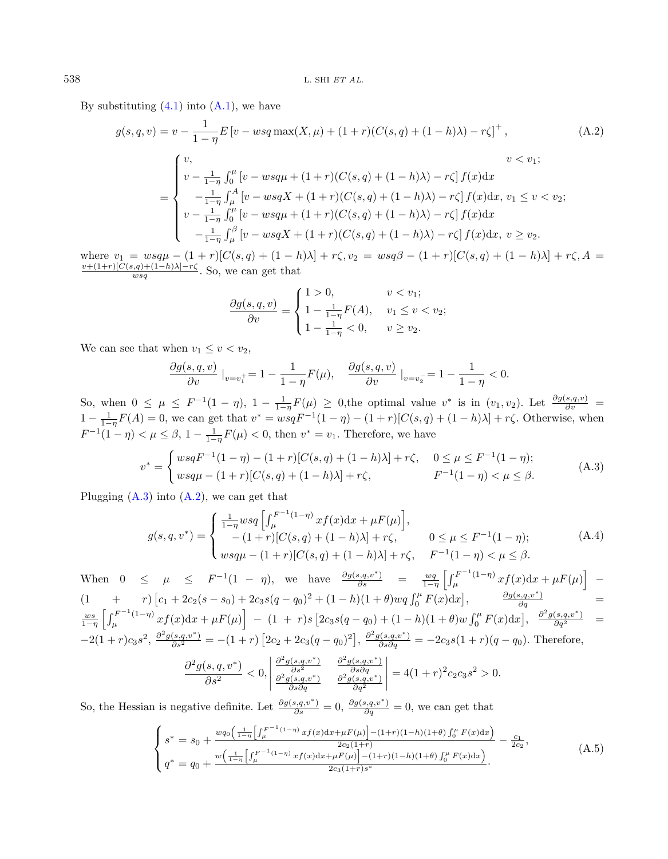By substituting  $(4.1)$  into  $(A.1)$ , we have

<span id="page-17-1"></span>
$$
g(s,q,v) = v - \frac{1}{1-\eta} E[v - wsq \max(X,\mu) + (1+r)(C(s,q) + (1-h)\lambda) - r\zeta]^+,
$$
\n(A.2)  
\n
$$
= \begin{cases}\nv, & v < v_1; \\
v - \frac{1}{1-\eta} \int_0^\mu \left[ v - wsq\mu + (1+r)(C(s,q) + (1-h)\lambda) - r\zeta \right] f(x) dx \\
-\frac{1}{1-\eta} \int_\mu^A \left[ v - wsqX + (1+r)(C(s,q) + (1-h)\lambda) - r\zeta \right] f(x) dx, & v_1 \le v < v_2; \\
v - \frac{1}{1-\eta} \int_0^\mu \left[ v - wsq\mu + (1+r)(C(s,q) + (1-h)\lambda) - r\zeta \right] f(x) dx \\
-\frac{1}{1-\eta} \int_\mu^\beta \left[ v - wsqX + (1+r)(C(s,q) + (1-h)\lambda) - r\zeta \right] f(x) dx, & v \ge v_2.\n\end{cases}
$$
\n(A.2)

where  $v_1 = wsq\mu - (1 + r)[C(s, q) + (1 - h)\lambda] + r\zeta$ ,  $v_2 = wsq\beta - (1 + r)[C(s, q) + (1 - h)\lambda] + r\zeta$ ,  $A =$  $v+(1+r)[C(s,q)+(1-h)\lambda]-r\zeta$  $\frac{\log q}{\log q}$ . So, we can get that

<span id="page-17-0"></span>
$$
\frac{\partial g(s, q, v)}{\partial v} = \begin{cases} 1 > 0, & v < v_1; \\ 1 - \frac{1}{1 - \eta} F(A), & v_1 \le v < v_2; \\ 1 - \frac{1}{1 - \eta} < 0, & v \ge v_2. \end{cases}
$$

We can see that when  $v_1 \leq v \lt v_2$ ,

$$
\frac{\partial g(s,q,v)}{\partial v}\big|_{v=v_1^+} = 1 - \frac{1}{1-\eta}F(\mu), \quad \frac{\partial g(s,q,v)}{\partial v}\big|_{v=v_2^-} = 1 - \frac{1}{1-\eta} < 0.
$$

So, when  $0 \leq \mu \leq F^{-1}(1-\eta)$ ,  $1-\frac{1}{1-\eta}F(\mu) \geq 0$ , the optimal value  $v^*$  is in  $(v_1, v_2)$ . Let  $\frac{\partial g(s,q,v)}{\partial v}$  $1 - \frac{1}{1-\eta}F(A) = 0$ , we can get that  $v^* = wsqF^{-1}(1-\eta) - (1+r)[C(s,q) + (1-h)\lambda] + r\zeta$ . Otherwise, when  $F^{-1}(1 - \eta) < \mu \leq \beta$ ,  $1 - \frac{1}{1 - \eta}F(\mu) < 0$ , then  $v^* = v_1$ . Therefore, we have

$$
v^* = \begin{cases} wsqF^{-1}(1-\eta) - (1+r)[C(s,q) + (1-h)\lambda] + r\zeta, & 0 \le \mu \le F^{-1}(1-\eta); \\ wsq\mu - (1+r)[C(s,q) + (1-h)\lambda] + r\zeta, & F^{-1}(1-\eta) < \mu \le \beta. \end{cases}
$$
(A.3)

Plugging  $(A.3)$  into  $(A.2)$ , we can get that

<span id="page-17-2"></span>
$$
g(s,q,v^*) = \begin{cases} \frac{1}{1-\eta}wsq \left[ \int_{\mu}^{F^{-1}(1-\eta)} x f(x) dx + \mu F(\mu) \right], \\ -(1+r)[C(s,q) + (1-h)\lambda] + r\zeta, & 0 \le \mu \le F^{-1}(1-\eta); \\ wsq\mu - (1+r)[C(s,q) + (1-h)\lambda] + r\zeta, & F^{-1}(1-\eta) < \mu \le \beta. \end{cases}
$$
(A.4)

When  $0 \leq \mu \leq F^{-1}(1 - \eta)$ , we have  $\frac{\partial g(s,q,v^*)}{\partial s} = \frac{wq}{1-\eta} \left[ \int_{\mu}^{F^{-1}(1-\eta)}$  $\int_{\mu}^{\mu}e^{-F^{-1}(1-\eta)} x f(x) dx + \mu F(\mu) \Big]$  –  $(1 + r)\left[c_1 + 2c_2(s - s_0) + 2c_3s(q - q_0)^2 + (1 - h)(1 + \theta)wq\int_0^{\mu} F(x)dx\right],$   $\frac{\partial g(s,q,v^*)}{\partial q}$  =  $\frac{ws}{1-\eta}$   $\int_{\mu}^{F^{-1}(1-\eta)}$  $\left[ \begin{array}{cc} \mu^{2}e^{-2t}(1-\eta) \ x f(x) \mathrm{d}x + \mu F(\mu) \end{array} \right] \; - \; (1 \; + \; r)s \left[ 2c_3 s(q-q_0) + (1-h)(1+\theta) w \int_0^\mu F(x) \mathrm{d}x \right], \;\; \frac{\partial^2 g(s,q,v^*)}{\partial q^2} \quad = \; 0.$  $-2(1+r)c_3s^2$ ,  $\frac{\partial^2 g(s,q,v^*)}{\partial s^2} = -(1+r)[2c_2+2c_3(q-q_0)^2], \frac{\partial^2 g(s,q,v^*)}{\partial s \partial q} = -2c_3s(1+r)(q-q_0)$ . Therefore,

$$
\frac{\partial^2 g(s,q,v^*)}{\partial s^2} < 0, \left| \frac{\frac{\partial^2 g(s,q,v^*)}{\partial s^2}}{\frac{\partial^2 g(s,q,v^*)}{\partial s \partial q}} \right| = 4(1+r)^2 c_2 c_3 s^2 > 0.
$$

<span id="page-17-3"></span>So, the Hessian is negative definite. Let  $\frac{\partial g(s,q,v^*)}{\partial s} = 0$ ,  $\frac{\partial g(s,q,v^*)}{\partial q} = 0$ , we can get that

$$
\begin{cases}\ns^* = s_0 + \frac{wq_0\left(\frac{1}{1-\eta}\left[\int_{\mu}^{F^{-1}(1-\eta)} x f(x) dx + \mu F(\mu)\right] - (1+r)(1-h)(1+\theta)\int_0^{\mu} F(x) dx\right)}{2c_2(1+r)} - \frac{c_1}{2c_2}, \\
q^* = q_0 + \frac{w\left(\frac{1}{1-\eta}\left[\int_{\mu}^{F^{-1}(1-\eta)} x f(x) dx + \mu F(\mu)\right] - (1+r)(1-h)(1+\theta)\int_0^{\mu} F(x) dx\right)}{2c_3(1+r)s^*}.\n\end{cases} (A.5)
$$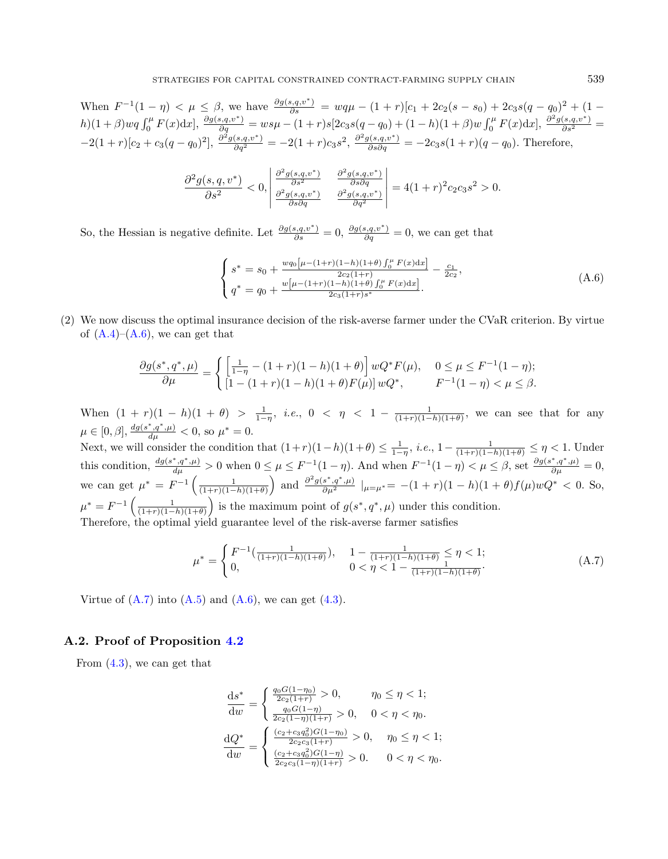When  $F^{-1}(1 - \eta) < \mu \leq \beta$ , we have  $\frac{\partial g(s,q,v^*)}{\partial s} = wq\mu - (1 + r)[c_1 + 2c_2(s - s_0) + 2c_3s(q - q_0)^2 + (1$  $h(1+\beta)wq \int_0^{\mu} F(x)dx$ ,  $\frac{\partial g(s,q,v^*)}{\partial q} = w s \mu - (1+r)s[2c_3 s(q-q_0) + (1-h)(1+\beta)w \int_0^{\mu} F(x)dx]$ ,  $\frac{\partial^2 g(s,q,v^*)}{\partial s^2} =$  $-2(1+r)[c_2+c_3(q-q_0)^2], \frac{\partial^2 g(s,q,v^*)}{\partial q^2} = -2(1+r)c_3s^2, \frac{\partial^2 g(s,q,v^*)}{\partial s\partial q} = -2c_3s(1+r)(q-q_0).$  Therefore,

<span id="page-18-1"></span>
$$
\frac{\partial^2 g(s,q,v^*)}{\partial s^2} < 0, \quad \frac{\partial^2 g(s,q,v^*)}{\partial s^2} \quad \frac{\partial^2 g(s,q,v^*)}{\partial s \partial q} \quad \frac{\partial^2 g(s,q,v^*)}{\partial s \partial q} = 4(1+r)^2 c_2 c_3 s^2 > 0.
$$

So, the Hessian is negative definite. Let  $\frac{\partial g(s,q,v^*)}{\partial s} = 0$ ,  $\frac{\partial g(s,q,v^*)}{\partial q} = 0$ , we can get that

$$
\begin{cases}\ns^* = s_0 + \frac{wq_0[\mu - (1+r)(1-h)(1+\theta) \int_0^\mu F(x) dx]}{2c_2(1+r)} - \frac{c_1}{2c_2}, \\
q^* = q_0 + \frac{w[\mu - (1+r)(1-h)(1+\theta) \int_0^\mu F(x) dx]}{2c_3(1+r)s^*}.\n\end{cases} (A.6)
$$

(2) We now discuss the optimal insurance decision of the risk-averse farmer under the CVaR criterion. By virtue of  $(A.4)$ – $(A.6)$ , we can get that

<span id="page-18-2"></span>
$$
\frac{\partial g(s^*, q^*, \mu)}{\partial \mu} = \begin{cases} \left[ \frac{1}{1-\eta} - (1+r)(1-h)(1+\theta) \right] wQ^* F(\mu), & 0 \le \mu \le F^{-1}(1-\eta); \\ [1-(1+r)(1-h)(1+\theta)F(\mu)] wQ^*, & F^{-1}(1-\eta) < \mu \le \beta. \end{cases}
$$

When  $(1 + r)(1 - h)(1 + \theta) > \frac{1}{1 - \eta}$ , *i.e.*,  $0 < \eta < 1 - \frac{1}{(1+r)(1-h)(1+\theta)}$ , we can see that for any  $\mu \in [0, \beta], \frac{dg(s^*, q^*, \mu)}{d\mu} < 0$ , so  $\mu^* = 0$ .

Next, we will consider the condition that  $(1+r)(1-h)(1+\theta) \leq \frac{1}{1-\eta}$ , *i.e.*,  $1-\frac{1}{(1+r)(1-h)(1+\theta)} \leq \eta < 1$ . Under this condition,  $\frac{dg(s^*,q^*,\mu)}{d\mu} > 0$  when  $0 \leq \mu \leq F^{-1}(1-\eta)$ . And when  $F^{-1}(1-\eta) < \mu \leq \beta$ , set  $\frac{\partial g(s^*,q^*,\mu)}{\partial \mu} = 0$ , we can get  $\mu^* = F^{-1}\left(\frac{1}{(1+r)(1-h)(1+\theta)}\right)$  and  $\frac{\partial^2 g(s^*,q^*,\mu)}{\partial \mu^2} |_{\mu=\mu^*} = -(1+r)(1-h)(1+\theta)f(\mu)wQ^* < 0$ . So,  $\mu^* = F^{-1}\left(\frac{1}{(1+r)(1-h)(1+\theta)}\right)$  is the maximum point of  $g(s^*, q^*, \mu)$  under this condition. Therefore, the optimal yield guarantee level of the risk-averse farmer satisfies

$$
\mu^* = \begin{cases} F^{-1}(\frac{1}{(1+r)(1-h)(1+\theta)}), & 1 - \frac{1}{(1+r)(1-h)(1+\theta)} \le \eta < 1; \\ 0, & 0 < \eta < 1 - \frac{1}{(1+r)(1-h)(1+\theta)}. \end{cases} \tag{A.7}
$$

Virtue of  $(A.7)$  into  $(A.5)$  and  $(A.6)$ , we can get  $(4.3)$ .

#### <span id="page-18-0"></span>A.2. Proof of Proposition [4.2](#page-7-2)

From [\(4.3\)](#page-7-0), we can get that

$$
\frac{ds^*}{dw} = \begin{cases} \frac{q_0 G(1 - \eta_0)}{2c_2(1+r)} > 0, & \eta_0 \le \eta < 1; \\ \frac{q_0 G(1 - \eta)}{2c_2(1 - \eta)(1+r)} > 0, & 0 < \eta < \eta_0. \end{cases}
$$

$$
\frac{dQ^*}{dw} = \begin{cases} \frac{(c_2 + c_3 q_0^2)G(1 - \eta_0)}{2c_2 c_3(1+r)} > 0, & \eta_0 \le \eta < 1; \\ \frac{(c_2 + c_3 q_0^2)G(1 - \eta)}{2c_2 c_3(1 - \eta)(1+r)} > 0. & 0 < \eta < \eta_0. \end{cases}
$$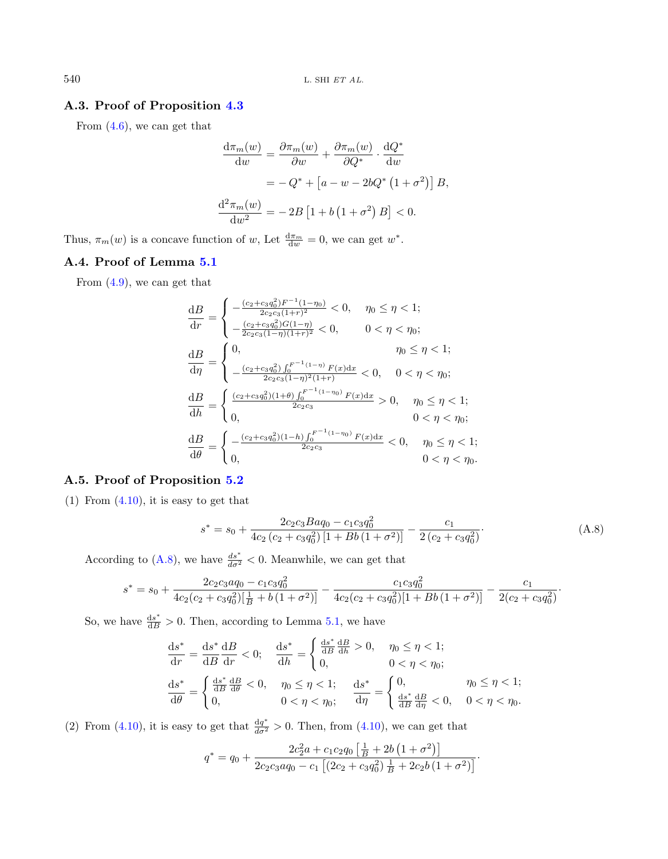## <span id="page-19-0"></span>A.3. Proof of Proposition [4.3](#page-7-3)

From [\(4.6\)](#page-7-4), we can get that

$$
\frac{d\pi_m(w)}{dw} = \frac{\partial \pi_m(w)}{\partial w} + \frac{\partial \pi_m(w)}{\partial Q^*} \cdot \frac{dQ^*}{dw}
$$

$$
= -Q^* + \left[a - w - 2bQ^* \left(1 + \sigma^2\right)\right]B,
$$

$$
\frac{d^2 \pi_m(w)}{dw^2} = -2B\left[1 + b\left(1 + \sigma^2\right)B\right] < 0.
$$

Thus,  $\pi_m(w)$  is a concave function of w, Let  $\frac{d\pi_m}{dw} = 0$ , we can get  $w^*$ .

# <span id="page-19-1"></span>A.4. Proof of Lemma [5.1](#page-9-0)

From [\(4.9\)](#page-8-4), we can get that

<span id="page-19-3"></span>
$$
\begin{aligned} \frac{\mathrm{d}B}{\mathrm{d}r} & = \begin{cases} -\frac{(c_2 + c_3 q_0^2)F^{-1}(1 - \eta_0)}{2c_2 c_3 (1 + r)^2} < 0, \quad \eta_0 \le \eta < 1; \\ -\frac{(c_2 + c_3 q_0^2)G(1 - \eta)}{2c_2 c_3 (1 - \eta)(1 + r)^2} < 0, \quad 0 < \eta < \eta_0; \end{cases} \\ \frac{\mathrm{d}B}{\mathrm{d}\eta} & = \begin{cases} 0, & \eta_0 \le \eta < 1; \\ -\frac{(c_2 + c_3 q_0^2) \int_0^{F^{-1}(1 - \eta)} F(x) \mathrm{d}x}{2c_2 c_3 (1 - \eta)^2 (1 + r)} < 0, \quad 0 < \eta < \eta_0; \\ 0, & \eta_0 \le \eta < 1; \end{cases} \\ \frac{\mathrm{d}B}{\mathrm{d}h} & = \begin{cases} \frac{(c_2 + c_3 q_0^2)(1 + \theta) \int_0^{F^{-1}(1 - \eta_0)} F(x) \mathrm{d}x}{2c_2 c_3} > 0, \quad \eta_0 \le \eta < 1; \\ 0, \quad 0 < \eta < \eta_0; \end{cases} \\ \frac{\mathrm{d}B}{\mathrm{d}\theta} & = \begin{cases} -\frac{(c_2 + c_3 q_0^2)(1 - h) \int_0^{F^{-1}(1 - \eta_0)} F(x) \mathrm{d}x}{2c_2 c_3} < 0, \quad \eta_0 \le \eta < 1; \\ 0, \quad 0 < \eta < \eta_0. \end{cases} \end{aligned}
$$

### <span id="page-19-2"></span>A.5. Proof of Proposition [5.2](#page-9-1)

 $(1)$  From  $(4.10)$ , it is easy to get that

$$
s^* = s_0 + \frac{2c_2c_3Baq_0 - c_1c_3q_0^2}{4c_2(c_2 + c_3q_0^2)[1 + Bb(1 + \sigma^2)]} - \frac{c_1}{2(c_2 + c_3q_0^2)}.
$$
 (A.8)

According to [\(A.8\)](#page-19-3), we have  $\frac{ds^*}{d\sigma^2} < 0$ . Meanwhile, we can get that

$$
s^* = s_0 + \frac{2c_2c_3aq_0 - c_1c_3q_0^2}{4c_2(c_2 + c_3q_0^2)[\frac{1}{B} + b(1 + \sigma^2)]} - \frac{c_1c_3q_0^2}{4c_2(c_2 + c_3q_0^2)[1 + Bb(1 + \sigma^2)]} - \frac{c_1}{2(c_2 + c_3q_0^2)}.
$$

So, we have  $\frac{ds^*}{dB} > 0$ . Then, according to Lemma [5.1,](#page-9-0) we have

$$
\frac{ds^*}{dr} = \frac{ds^*}{dB} \frac{dB}{dr} < 0; \quad \frac{ds^*}{dh} = \begin{cases} \frac{ds^*}{dB} \frac{dB}{dh} > 0, & \eta_0 \le \eta < 1; \\ 0, & 0 < \eta < \eta_0; \end{cases}
$$

$$
\frac{ds^*}{d\theta} = \begin{cases} \frac{ds^*}{dB} \frac{dB}{d\theta} < 0, & \eta_0 \le \eta < 1; \\ 0, & 0 < \eta < \eta_0; \end{cases}
$$

$$
\frac{ds^*}{d\eta} = \begin{cases} 0, & \eta_0 \le \eta < 1; \\ \frac{ds^*}{dB} \frac{dB}{d\eta} < 0, & 0 < \eta < \eta_0. \end{cases}
$$

(2) From [\(4.10\)](#page-8-2), it is easy to get that  $\frac{dq^*}{d\sigma^2} > 0$ . Then, from (4.10), we can get that

$$
q^* = q_0 + \frac{2c_2^2a + c_1c_2q_0\left[\frac{1}{B} + 2b\left(1 + \sigma^2\right)\right]}{2c_2c_3aq_0 - c_1\left[\left(2c_2 + c_3q_0^2\right)\frac{1}{B} + 2c_2b\left(1 + \sigma^2\right)\right]}.
$$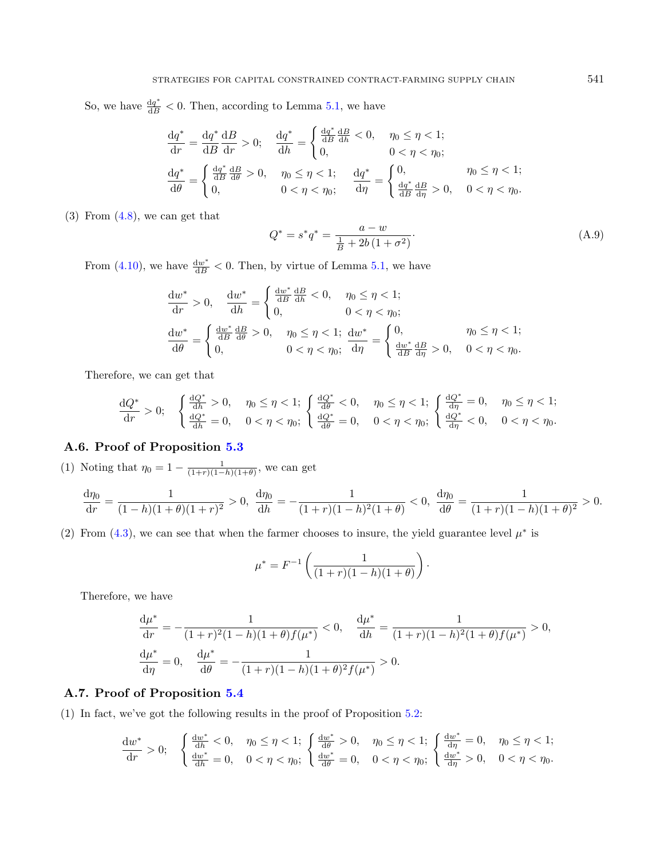So, we have  $\frac{dq^*}{dB} < 0$ . Then, according to Lemma [5.1,](#page-9-0) we have

<span id="page-20-2"></span>
$$
\frac{dq^*}{dr} = \frac{dq^*}{dB} \frac{dB}{dr} > 0; \quad \frac{dq^*}{dh} = \begin{cases} \frac{dq^*}{dB} \frac{dB}{dh} < 0, & \eta_0 \le \eta < 1; \\ 0, & 0 < \eta < \eta_0; \end{cases}
$$

$$
\frac{dq^*}{d\theta} = \begin{cases} \frac{dq^*}{dB} \frac{dB}{d\theta} > 0, & \eta_0 \le \eta < 1; \\ 0, & 0 < \eta < \eta_0; \end{cases}
$$

$$
\frac{dq^*}{d\eta} = \begin{cases} 0, & \eta_0 \le \eta < 1; \\ \frac{dq^*}{dB} \frac{dB}{d\eta} > 0, & 0 < \eta < \eta_0. \end{cases}
$$

 $(3)$  From  $(4.8)$ , we can get that

$$
Q^* = s^* q^* = \frac{a - w}{\frac{1}{B} + 2b(1 + \sigma^2)}.
$$
\n(A.9)

From [\(4.10\)](#page-8-2), we have  $\frac{dw^*}{dB} < 0$ . Then, by virtue of Lemma [5.1,](#page-9-0) we have

$$
\frac{dw^*}{dr} > 0, \quad \frac{dw^*}{dh} = \begin{cases} \frac{dw^*}{dB} & \text{if } 0, \quad \eta_0 \le \eta < 1; \\ 0, & 0 < \eta < \eta_0; \end{cases}
$$
\n
$$
\frac{dw^*}{d\theta} = \begin{cases} \frac{dw^*}{dB} & \text{if } 0, \quad \eta_0 \le \eta < 1; \\ 0, & \eta < \eta_0; \end{cases}
$$
\n
$$
\frac{dw^*}{d\theta} = \begin{cases} \frac{dw^*}{dB} & \text{if } 0, \quad \eta_0 \le \eta < 1; \\ 0, & 0 < \eta < \eta_0; \end{cases}
$$

Therefore, we can get that

$$
\frac{dQ^*}{dr} > 0; \quad \begin{cases} \frac{dQ^*}{dh} > 0, \quad \eta_0 \le \eta < 1; \\ \frac{dQ^*}{dh} = 0, \quad 0 < \eta < \eta_0; \end{cases} \frac{dQ^*}{d\theta} < 0, \quad \eta_0 \le \eta < 1; \\ \frac{dQ^*}{d\theta} = 0, \quad 0 < \eta < \eta_0; \begin{cases} \frac{dQ^*}{d\eta} = 0, \quad \eta_0 \le \eta < 1; \\ \frac{dQ^*}{d\eta} < 0, \quad 0 < \eta < \eta_0. \end{cases}
$$

# <span id="page-20-0"></span>A.6. Proof of Proposition [5.3](#page-10-0)

(1) Noting that  $\eta_0 = 1 - \frac{1}{(1+r)(1-h)(1+\theta)}$ , we can get

$$
\frac{d\eta_0}{dr} = \frac{1}{(1-h)(1+\theta)(1+r)^2} > 0, \quad \frac{d\eta_0}{dh} = -\frac{1}{(1+r)(1-h)^2(1+\theta)} < 0, \quad \frac{d\eta_0}{d\theta} = \frac{1}{(1+r)(1-h)(1+\theta)^2} > 0.
$$

(2) From [\(4.3\)](#page-7-0), we can see that when the farmer chooses to insure, the yield guarantee level  $\mu^*$  is

$$
\mu^* = F^{-1}\left(\frac{1}{(1+r)(1-h)(1+\theta)}\right).
$$

Therefore, we have

$$
\frac{d\mu^*}{dr} = -\frac{1}{(1+r)^2(1-h)(1+\theta)f(\mu^*)} < 0, \quad \frac{d\mu^*}{dh} = \frac{1}{(1+r)(1-h)^2(1+\theta)f(\mu^*)} > 0,
$$
  

$$
\frac{d\mu^*}{d\eta} = 0, \quad \frac{d\mu^*}{d\theta} = -\frac{1}{(1+r)(1-h)(1+\theta)^2f(\mu^*)} > 0.
$$

# <span id="page-20-1"></span>A.7. Proof of Proposition [5.4](#page-11-0)

(1) In fact, we've got the following results in the proof of Proposition [5.2:](#page-9-1)

$$
\frac{dw^*}{dr} > 0; \quad \begin{cases} \frac{dw^*}{dh} < 0, \quad \eta_0 \le \eta < 1; \\ \frac{dw^*}{dh} = 0, \quad 0 < \eta < \eta_0; \end{cases} \frac{dw^*}{d\theta} > 0, \quad \eta_0 \le \eta < 1; \\ \frac{dw^*}{d\theta} = 0, \quad 0 < \eta < \eta_0; \begin{cases} \frac{dw^*}{d\eta} = 0, \quad \eta_0 \le \eta < 1; \\ \frac{dw^*}{d\eta} > 0, \quad 0 < \eta < \eta_0. \end{cases}
$$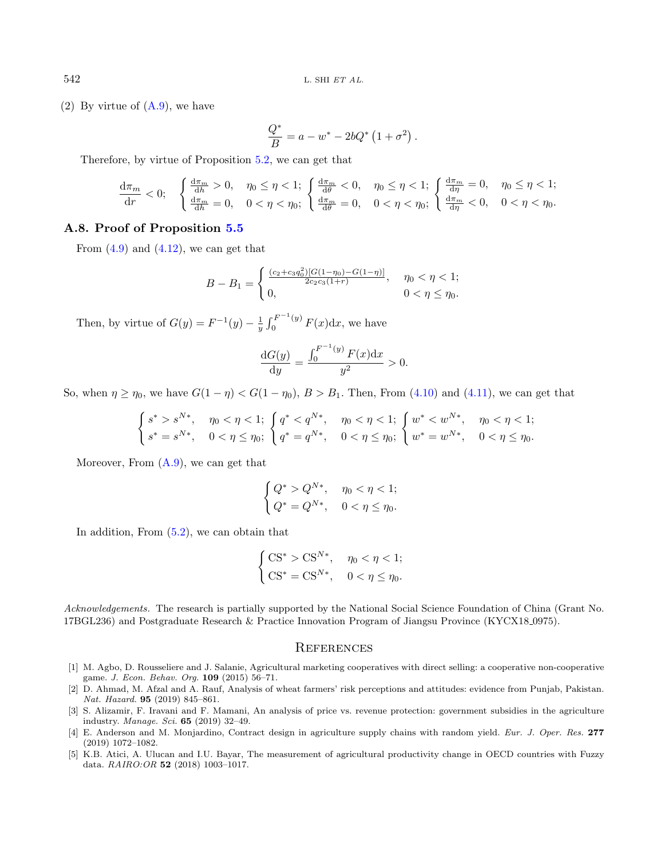(2) By virtue of  $(A.9)$ , we have

$$
\frac{Q^*}{B} = a - w^* - 2bQ^* (1 + \sigma^2).
$$

Therefore, by virtue of Proposition [5.2,](#page-9-1) we can get that

$$
\frac{d\pi_m}{dr} < 0; \quad \begin{cases} \frac{d\pi_m}{dh} > 0, \quad \eta_0 \le \eta < 1; \\ \frac{d\pi_m}{dh} = 0, \quad 0 < \eta < \eta_0; \end{cases} \quad \begin{cases} \frac{d\pi_m}{d\theta} < 0, \quad \eta_0 \le \eta < 1; \\ \frac{d\pi_m}{d\theta} = 0, \quad 0 < \eta < \eta_0; \end{cases} \quad \begin{cases} \frac{d\pi_m}{d\eta} = 0, \quad \eta_0 \le \eta < 1; \\ \frac{d\pi_m}{d\eta} < 0, \quad 0 < \eta < \eta_0. \end{cases}
$$

#### <span id="page-21-5"></span>A.8. Proof of Proposition [5.5](#page-13-1)

From  $(4.9)$  and  $(4.12)$ , we can get that

$$
B - B_1 = \begin{cases} \frac{(c_2 + c_3 q_0^2)[G(1 - \eta_0) - G(1 - \eta)]}{2c_2 c_3 (1 + r)}, & \eta_0 < \eta < 1; \\ 0, & 0 < \eta \le \eta_0. \end{cases}
$$

Then, by virtue of  $G(y) = F^{-1}(y) - \frac{1}{y} \int_0^{F^{-1}(y)}$  $\int_0^{T} f(x) dx$ , we have

$$
\frac{dG(y)}{dy} = \frac{\int_0^{F^{-1}(y)} F(x) dx}{y^2} > 0.
$$

So, when  $\eta \geq \eta_0$ , we have  $G(1 - \eta) < G(1 - \eta_0)$ ,  $B > B_1$ . Then, From [\(4.10\)](#page-8-2) and [\(4.11\)](#page-8-3), we can get that

$$
\label{eq:2.1} \left\{ \begin{aligned} s^* &> s^{N*}, \quad \eta_0 < \eta < 1;\\ s^* & = s^{N*}, \quad 0 < \eta \leq \eta_0; \end{aligned} \right. \left\{ \begin{aligned} q^* &< q^{N*}, \quad \eta_0 < \eta < 1;\\ q^* & = q^{N*}, \quad 0 < \eta \leq \eta_0; \end{aligned} \right. \left\{ \begin{aligned} w^* &< w^{N*}, \quad \eta_0 < \eta < 1;\\ w^* & = w^{N*}, \quad 0 < \eta \leq \eta_0. \end{aligned} \right.
$$

Moreover, From [\(A.9\)](#page-20-2), we can get that

$$
\begin{cases} Q^* > Q^{N*}, & \eta_0 < \eta < 1; \\ Q^* = Q^{N*}, & 0 < \eta \le \eta_0. \end{cases}
$$

<span id="page-21-4"></span><span id="page-21-3"></span><span id="page-21-1"></span>In addition, From [\(5.2\)](#page-12-1), we can obtain that

$$
\begin{cases} \text{CS}^* > \text{CS}^{N*}, \quad \eta_0 < \eta < 1; \\ \text{CS}^* = \text{CS}^{N*}, \quad 0 < \eta \le \eta_0. \end{cases}
$$

<span id="page-21-2"></span><span id="page-21-0"></span>Acknowledgements. The research is partially supported by the National Social Science Foundation of China (Grant No. 17BGL236) and Postgraduate Research & Practice Innovation Program of Jiangsu Province (KYCX18 0975).

### **REFERENCES**

- [1] M. Agbo, D. Rousseliere and J. Salanie, Agricultural marketing cooperatives with direct selling: a cooperative non-cooperative game. J. Econ. Behav. Org. 109 (2015) 56–71.
- [2] D. Ahmad, M. Afzal and A. Rauf, Analysis of wheat farmers' risk perceptions and attitudes: evidence from Punjab, Pakistan. Nat. Hazard. 95 (2019) 845–861.
- [3] S. Alizamir, F. Iravani and F. Mamani, An analysis of price vs. revenue protection: government subsidies in the agriculture industry. Manage. Sci. 65 (2019) 32–49.
- [4] E. Anderson and M. Monjardino, Contract design in agriculture supply chains with random yield. Eur. J. Oper. Res. 277 (2019) 1072–1082.
- [5] K.B. Atici, A. Ulucan and I.U. Bayar, The measurement of agricultural productivity change in OECD countries with Fuzzy data. RAIRO:OR 52 (2018) 1003–1017.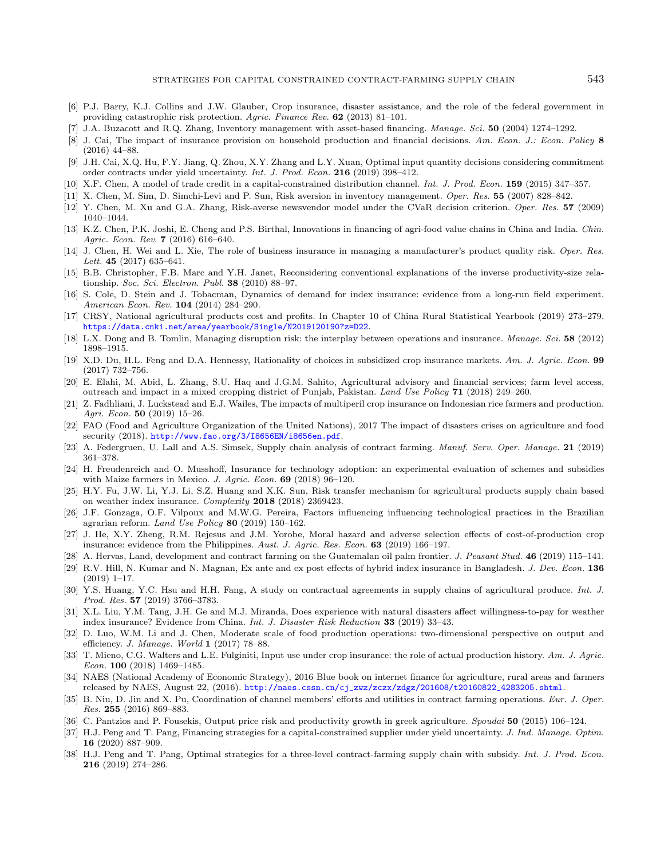- <span id="page-22-31"></span><span id="page-22-30"></span><span id="page-22-28"></span><span id="page-22-27"></span><span id="page-22-25"></span><span id="page-22-22"></span><span id="page-22-16"></span><span id="page-22-15"></span><span id="page-22-9"></span><span id="page-22-4"></span>[6] P.J. Barry, K.J. Collins and J.W. Glauber, Crop insurance, disaster assistance, and the role of the federal government in providing catastrophic risk protection. Agric. Finance Rev. 62 (2013) 81–101.
- [7] J.A. Buzacott and R.Q. Zhang, Inventory management with asset-based financing. Manage. Sci. 50 (2004) 1274–1292.
- <span id="page-22-1"></span>[8] J. Cai, The impact of insurance provision on household production and financial decisions. Am. Econ. J.: Econ. Policy 8 (2016) 44–88.
- <span id="page-22-29"></span>[9] J.H. Cai, X.Q. Hu, F.Y. Jiang, Q. Zhou, X.Y. Zhang and L.Y. Xuan, Optimal input quantity decisions considering commitment order contracts under yield uncertainty. Int. J. Prod. Econ. 216 (2019) 398–412.
- <span id="page-22-24"></span>[10] X.F. Chen, A model of trade credit in a capital-constrained distribution channel. Int. J. Prod. Econ. 159 (2015) 347–357.
- <span id="page-22-26"></span>[11] X. Chen, M. Sim, D. Simchi-Levi and P. Sun, Risk aversion in inventory management. Oper. Res. 55 (2007) 828–842.
- [12] Y. Chen, M. Xu and G.A. Zhang, Risk-averse newsvendor model under the CVaR decision criterion. Oper. Res. 57 (2009) 1040–1044.
- <span id="page-22-5"></span>[13] K.Z. Chen, P.K. Joshi, E. Cheng and P.S. Birthal, Innovations in financing of agri-food value chains in China and India. Chin. Agric. Econ. Rev. **7** (2016) 616-640.
- <span id="page-22-14"></span>[14] J. Chen, H. Wei and L. Xie, The role of business insurance in managing a manufacturer's product quality risk. Oper. Res. Lett. 45 (2017) 635–641.
- <span id="page-22-0"></span>[15] B.B. Christopher, F.B. Marc and Y.H. Janet, Reconsidering conventional explanations of the inverse productivity-size relationship. Soc. Sci. Electron. Publ. 38 (2010) 88–97.
- <span id="page-22-2"></span>[16] S. Cole, D. Stein and J. Tobacman, Dynamics of demand for index insurance: evidence from a long-run field experiment. American Econ. Rev. 104 (2014) 284–290.
- <span id="page-22-13"></span>[17] CRSY, National agricultural products cost and profits. In Chapter 10 of China Rural Statistical Yearbook (2019) 273–279. <https://data.cnki.net/area/yearbook/Single/N2019120190?z=D22>.
- <span id="page-22-21"></span>[18] L.X. Dong and B. Tomlin, Managing disruption risk: the interplay between operations and insurance. Manage. Sci. 58 (2012) 1898–1915.
- <span id="page-22-6"></span>[19] X.D. Du, H.L. Feng and D.A. Hennessy, Rationality of choices in subsidized crop insurance markets. Am. J. Agric. Econ. 99 (2017) 732–756.
- <span id="page-22-11"></span>[20] E. Elahi, M. Abid, L. Zhang, S.U. Haq and J.G.M. Sahito, Agricultural advisory and financial services; farm level access, outreach and impact in a mixed cropping district of Punjab, Pakistan. Land Use Policy 71 (2018) 249–260.
- <span id="page-22-10"></span><span id="page-22-3"></span>[21] Z. Fadhliani, J. Luckstead and E.J. Wailes, The impacts of multiperil crop insurance on Indonesian rice farmers and production. Agri. Econ. 50 (2019) 15–26.
- <span id="page-22-19"></span>[22] FAO (Food and Agriculture Organization of the United Nations), 2017 The impact of disasters crises on agriculture and food security (2018). <http://www.fao.org/3/I8656EN/i8656en.pdf>.
- <span id="page-22-8"></span>[23] A. Federgruen, U. Lall and A.S. Simsek, Supply chain analysis of contract farming. Manuf. Serv. Oper. Manage. 21 (2019) 361–378.
- <span id="page-22-23"></span>[24] H. Freudenreich and O. Musshoff, Insurance for technology adoption: an experimental evaluation of schemes and subsidies with Maize farmers in Mexico. J. Agric. Econ. 69 (2018) 96–120.
- <span id="page-22-12"></span>[25] H.Y. Fu, J.W. Li, Y.J. Li, S.Z. Huang and X.K. Sun, Risk transfer mechanism for agricultural products supply chain based on weather index insurance. Complexity 2018 (2018) 2369423.
- <span id="page-22-7"></span>[26] J.F. Gonzaga, O.F. Vilpoux and M.W.G. Pereira, Factors influencing influencing technological practices in the Brazilian agrarian reform. Land Use Policy  $80$  (2019) 150-162.
- <span id="page-22-18"></span>[27] J. He, X.Y. Zheng, R.M. Rejesus and J.M. Yorobe, Moral hazard and adverse selection effects of cost-of-production crop insurance: evidence from the Philippines. Aust. J. Agric. Res. Econ. **63** (2019) 166–197.
- <span id="page-22-32"></span>[28] A. Hervas, Land, development and contract farming on the Guatemalan oil palm frontier. J. Peasant Stud. 46 (2019) 115–141.
- <span id="page-22-17"></span>[29] R.V. Hill, N. Kumar and N. Magnan, Ex ante and ex post effects of hybrid index insurance in Bangladesh. J. Dev. Econ. 136 (2019) 1–17.
- <span id="page-22-20"></span>[30] Y.S. Huang, Y.C. Hsu and H.H. Fang, A study on contractual agreements in supply chains of agricultural produce. Int. J. Prod. Res. 57 (2019) 3766–3783.
- [31] X.L. Liu, Y.M. Tang, J.H. Ge and M.J. Miranda, Does experience with natural disasters affect willingness-to-pay for weather index insurance? Evidence from China. Int. J. Disaster Risk Reduction 33 (2019) 33–43.
- [32] D. Luo, W.M. Li and J. Chen, Moderate scale of food production operations: two-dimensional perspective on output and efficiency. J. Manage. World 1 (2017) 78–88.
- [33] T. Mieno, C.G. Walters and L.E. Fulginiti, Input use under crop insurance: the role of actual production history. Am. J. Agric. Econ. 100 (2018) 1469–1485.
- [34] NAES (National Academy of Economic Strategy), 2016 Blue book on internet finance for agriculture, rural areas and farmers released by NAES, August 22, (2016). [http://naes.cssn.cn/cj\\_zwz/zczx/zdgz/201608/t20160822\\_4283205.shtml](http://naes.cssn.cn/cj_zwz/zczx/zdgz/201608/t20160822_4283205.shtml).
- [35] B. Niu, D. Jin and X. Pu, Coordination of channel members' efforts and utilities in contract farming operations. Eur. J. Oper. Res. 255 (2016) 869–883.
- [36] C. Pantzios and P. Fousekis, Output price risk and productivity growth in greek agriculture. Spoudai 50 (2015) 106–124.
- [37] H.J. Peng and T. Pang, Financing strategies for a capital-constrained supplier under yield uncertainty. J. Ind. Manage. Optim. 16 (2020) 887–909.
- [38] H.J. Peng and T. Pang, Optimal strategies for a three-level contract-farming supply chain with subsidy. Int. J. Prod. Econ. 216 (2019) 274–286.